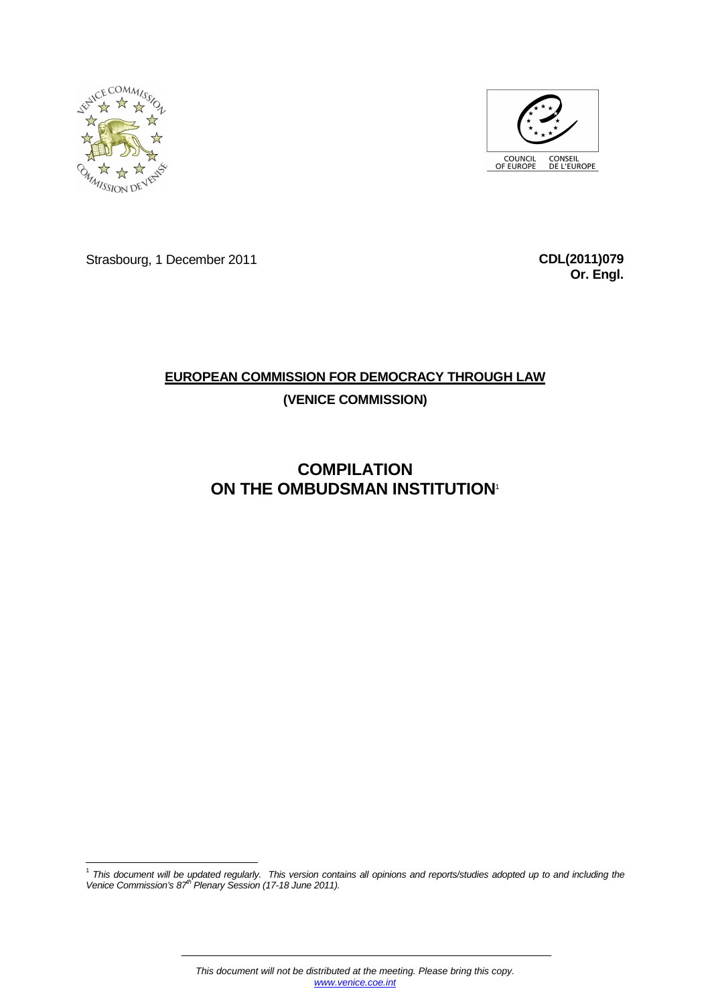



Strasbourg, 1 December 2011 **CDL(2011)079**

**Or. Engl.**

# **EUROPEAN COMMISSION FOR DEMOCRACY THROUGH LAW (VENICE COMMISSION)**

# **COMPILATION ON THE OMBUDSMAN INSTITUTION**<sup>1</sup>

1<br><sup>1</sup> This document will be updated regularly. This version contains all opinions and reports/studies adopted up to and including the<br>Venice Commission's 87<sup>th</sup> Plenary Session (17-18 June 2011).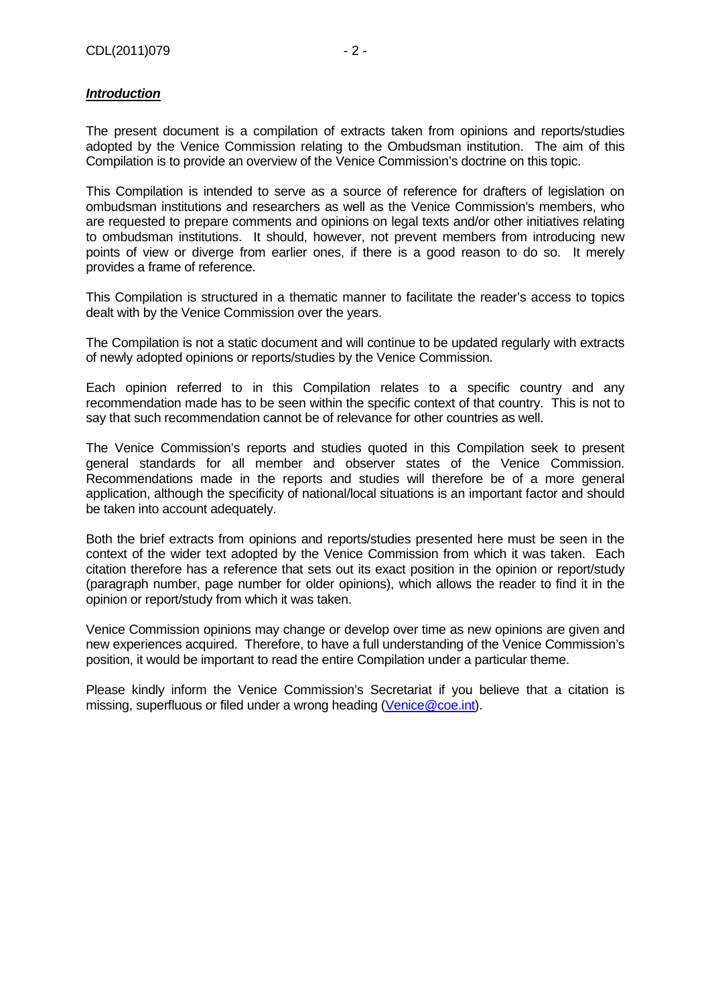#### **Introduction**

The present document is a compilation of extracts taken from opinions and reports/studies adopted by the Venice Commission relating to the Ombudsman institution. The aim of this Compilation is to provide an overview of the Venice Commission's doctrine on this topic.

This Compilation is intended to serve as a source of reference for drafters of legislation on ombudsman institutions and researchers as well as the Venice Commission's members, who are requested to prepare comments and opinions on legal texts and/or other initiatives relating to ombudsman institutions. It should, however, not prevent members from introducing new points of view or diverge from earlier ones, if there is a good reason to do so. It merely provides a frame of reference.

This Compilation is structured in a thematic manner to facilitate the reader's access to topics dealt with by the Venice Commission over the years.

The Compilation is not a static document and will continue to be updated regularly with extracts of newly adopted opinions or reports/studies by the Venice Commission.

Each opinion referred to in this Compilation relates to a specific country and any recommendation made has to be seen within the specific context of that country. This is not to say that such recommendation cannot be of relevance for other countries as well.

The Venice Commission's reports and studies quoted in this Compilation seek to present general standards for all member and observer states of the Venice Commission. Recommendations made in the reports and studies will therefore be of a more general application, although the specificity of national/local situations is an important factor and should be taken into account adequately.

Both the brief extracts from opinions and reports/studies presented here must be seen in the context of the wider text adopted by the Venice Commission from which it was taken. Each citation therefore has a reference that sets out its exact position in the opinion or report/study (paragraph number, page number for older opinions), which allows the reader to find it in the opinion or report/study from which it was taken.

Venice Commission opinions may change or develop over time as new opinions are given and new experiences acquired. Therefore, to have a full understanding of the Venice Commission's position, it would be important to read the entire Compilation under a particular theme.

Please kindly inform the Venice Commission's Secretariat if you believe that a citation is missing, superfluous or filed under a wrong heading (Venice@coe.int).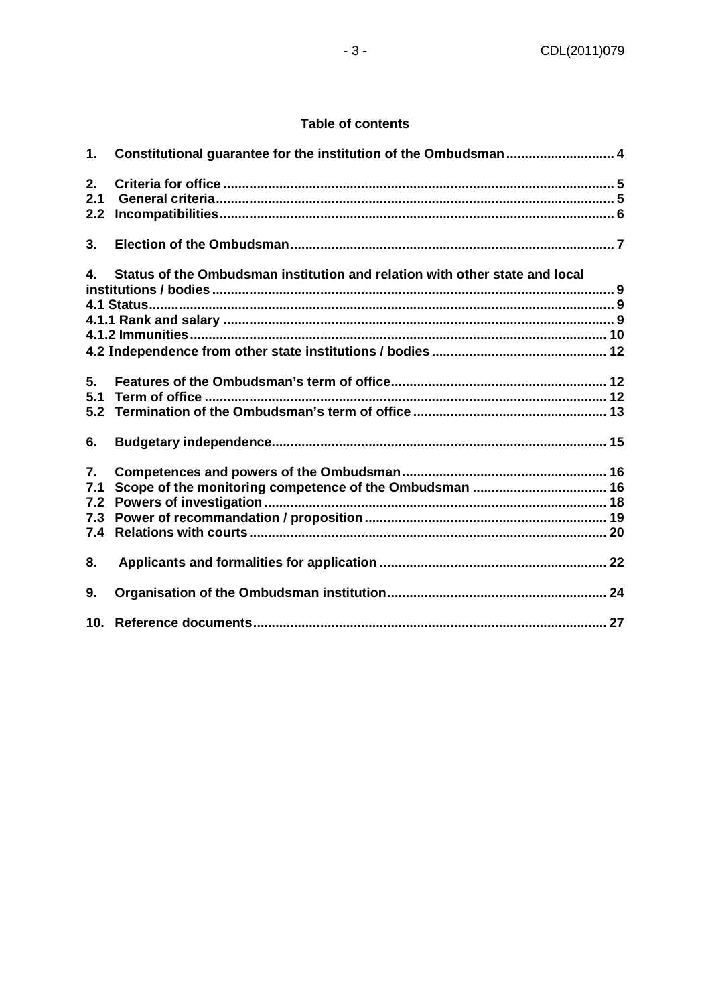#### **Table of contents**

| 1.                                           | Constitutional guarantee for the institution of the Ombudsman  4            |  |
|----------------------------------------------|-----------------------------------------------------------------------------|--|
| 2.<br>2.1<br>2.2                             |                                                                             |  |
| 3.                                           |                                                                             |  |
| 4.                                           | Status of the Ombudsman institution and relation with other state and local |  |
| 5.<br>5.1<br>5.2<br>6.                       |                                                                             |  |
| $\overline{7}$ .<br>7.1<br>7.2<br>7.3<br>7.4 |                                                                             |  |
| 8.                                           |                                                                             |  |
| 9.                                           |                                                                             |  |
|                                              |                                                                             |  |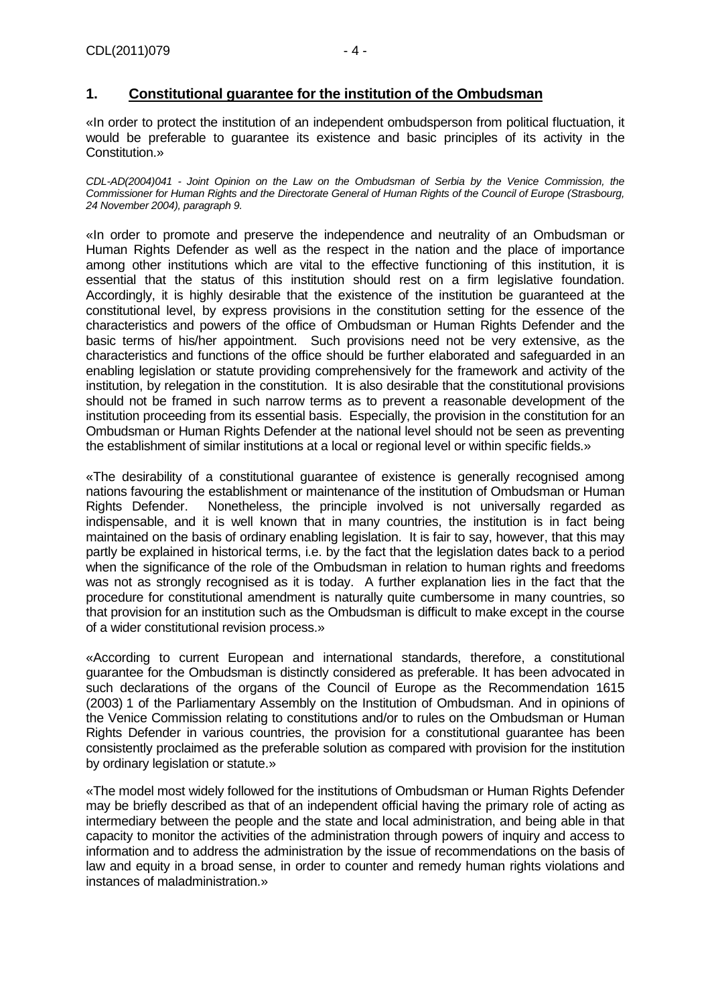#### **1. Constitutional guarantee for the institution of the Ombudsman**

«In order to protect the institution of an independent ombudsperson from political fluctuation, it would be preferable to guarantee its existence and basic principles of its activity in the Constitution.»

CDL-AD(2004)041 - Joint Opinion on the Law on the Ombudsman of Serbia by the Venice Commission, the Commissioner for Human Rights and the Directorate General of Human Rights of the Council of Europe (Strasbourg, 24 November 2004), paragraph 9.

«In order to promote and preserve the independence and neutrality of an Ombudsman or Human Rights Defender as well as the respect in the nation and the place of importance among other institutions which are vital to the effective functioning of this institution, it is essential that the status of this institution should rest on a firm legislative foundation. Accordingly, it is highly desirable that the existence of the institution be guaranteed at the constitutional level, by express provisions in the constitution setting for the essence of the characteristics and powers of the office of Ombudsman or Human Rights Defender and the basic terms of his/her appointment. Such provisions need not be very extensive, as the characteristics and functions of the office should be further elaborated and safeguarded in an enabling legislation or statute providing comprehensively for the framework and activity of the institution, by relegation in the constitution. It is also desirable that the constitutional provisions should not be framed in such narrow terms as to prevent a reasonable development of the institution proceeding from its essential basis. Especially, the provision in the constitution for an Ombudsman or Human Rights Defender at the national level should not be seen as preventing the establishment of similar institutions at a local or regional level or within specific fields.»

«The desirability of a constitutional guarantee of existence is generally recognised among nations favouring the establishment or maintenance of the institution of Ombudsman or Human Rights Defender. Nonetheless, the principle involved is not universally regarded as indispensable, and it is well known that in many countries, the institution is in fact being maintained on the basis of ordinary enabling legislation. It is fair to say, however, that this may partly be explained in historical terms, i.e. by the fact that the legislation dates back to a period when the significance of the role of the Ombudsman in relation to human rights and freedoms was not as strongly recognised as it is today. A further explanation lies in the fact that the procedure for constitutional amendment is naturally quite cumbersome in many countries, so that provision for an institution such as the Ombudsman is difficult to make except in the course of a wider constitutional revision process.»

«According to current European and international standards, therefore, a constitutional guarantee for the Ombudsman is distinctly considered as preferable. It has been advocated in such declarations of the organs of the Council of Europe as the Recommendation 1615 (2003) 1 of the Parliamentary Assembly on the Institution of Ombudsman. And in opinions of the Venice Commission relating to constitutions and/or to rules on the Ombudsman or Human Rights Defender in various countries, the provision for a constitutional guarantee has been consistently proclaimed as the preferable solution as compared with provision for the institution by ordinary legislation or statute.»

«The model most widely followed for the institutions of Ombudsman or Human Rights Defender may be briefly described as that of an independent official having the primary role of acting as intermediary between the people and the state and local administration, and being able in that capacity to monitor the activities of the administration through powers of inquiry and access to information and to address the administration by the issue of recommendations on the basis of law and equity in a broad sense, in order to counter and remedy human rights violations and instances of maladministration.»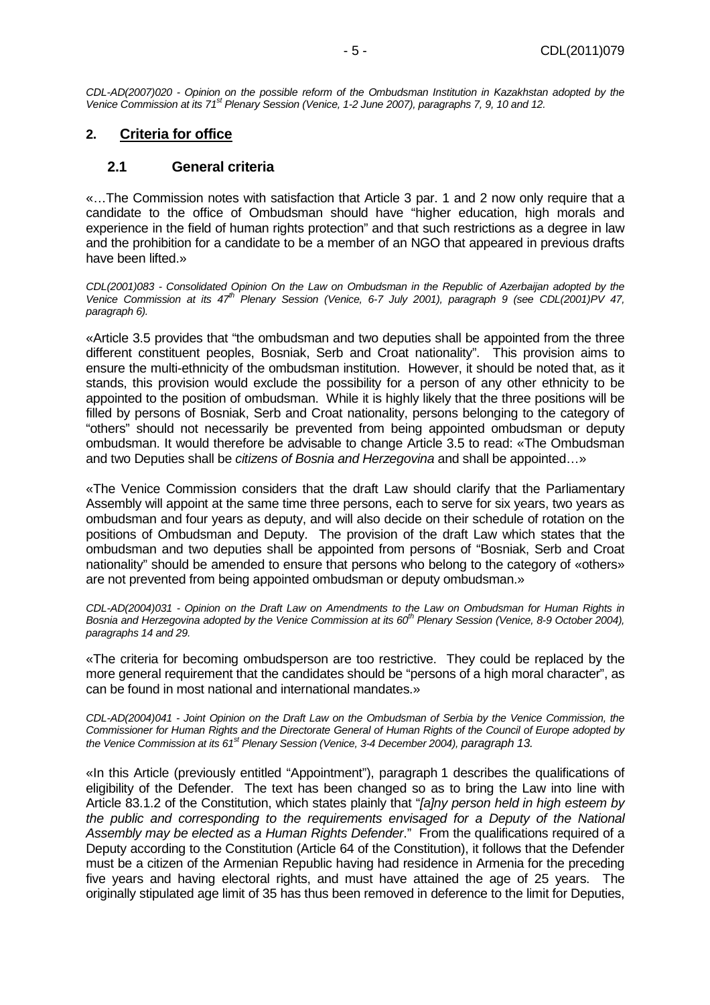CDL-AD(2007)020 - Opinion on the possible reform of the Ombudsman Institution in Kazakhstan adopted by the Venice Commission at its  $71<sup>st</sup>$  Plenary Session (Venice, 1-2 June 2007), paragraphs 7, 9, 10 and 12.

## **2. Criteria for office**

#### **2.1 General criteria**

«…The Commission notes with satisfaction that Article 3 par. 1 and 2 now only require that a candidate to the office of Ombudsman should have "higher education, high morals and experience in the field of human rights protection" and that such restrictions as a degree in law and the prohibition for a candidate to be a member of an NGO that appeared in previous drafts have been lifted.»

CDL(2001)083 - Consolidated Opinion On the Law on Ombudsman in the Republic of Azerbaijan adopted by the Venice Commission at its 47<sup>th</sup> Plenary Session (Venice, 6-7 July 2001), paragraph 9 (see CDL(2001)PV 47, paragraph 6).

«Article 3.5 provides that "the ombudsman and two deputies shall be appointed from the three different constituent peoples, Bosniak, Serb and Croat nationality". This provision aims to ensure the multi-ethnicity of the ombudsman institution. However, it should be noted that, as it stands, this provision would exclude the possibility for a person of any other ethnicity to be appointed to the position of ombudsman. While it is highly likely that the three positions will be filled by persons of Bosniak, Serb and Croat nationality, persons belonging to the category of "others" should not necessarily be prevented from being appointed ombudsman or deputy ombudsman. It would therefore be advisable to change Article 3.5 to read: «The Ombudsman and two Deputies shall be citizens of Bosnia and Herzegovina and shall be appointed…»

«The Venice Commission considers that the draft Law should clarify that the Parliamentary Assembly will appoint at the same time three persons, each to serve for six years, two years as ombudsman and four years as deputy, and will also decide on their schedule of rotation on the positions of Ombudsman and Deputy. The provision of the draft Law which states that the ombudsman and two deputies shall be appointed from persons of "Bosniak, Serb and Croat nationality" should be amended to ensure that persons who belong to the category of «others» are not prevented from being appointed ombudsman or deputy ombudsman.»

CDL-AD(2004)031 - Opinion on the Draft Law on Amendments to the Law on Ombudsman for Human Rights in Bosnia and Herzegovina adopted by the Venice Commission at its 60<sup>th</sup> Plenary Session (Venice, 8-9 October 2004), paragraphs 14 and 29.

«The criteria for becoming ombudsperson are too restrictive. They could be replaced by the more general requirement that the candidates should be "persons of a high moral character", as can be found in most national and international mandates.»

CDL-AD(2004)041 - Joint Opinion on the Draft Law on the Ombudsman of Serbia by the Venice Commission, the Commissioner for Human Rights and the Directorate General of Human Rights of the Council of Europe adopted by the Venice Commission at its  $61<sup>st</sup>$  Plenary Session (Venice, 3-4 December 2004), paragraph 13.

«In this Article (previously entitled "Appointment"), paragraph 1 describes the qualifications of eligibility of the Defender. The text has been changed so as to bring the Law into line with Article 83.1.2 of the Constitution, which states plainly that "[a]ny person held in high esteem by the public and corresponding to the requirements envisaged for a Deputy of the National Assembly may be elected as a Human Rights Defender." From the qualifications required of a Deputy according to the Constitution (Article 64 of the Constitution), it follows that the Defender must be a citizen of the Armenian Republic having had residence in Armenia for the preceding five years and having electoral rights, and must have attained the age of 25 years. The originally stipulated age limit of 35 has thus been removed in deference to the limit for Deputies,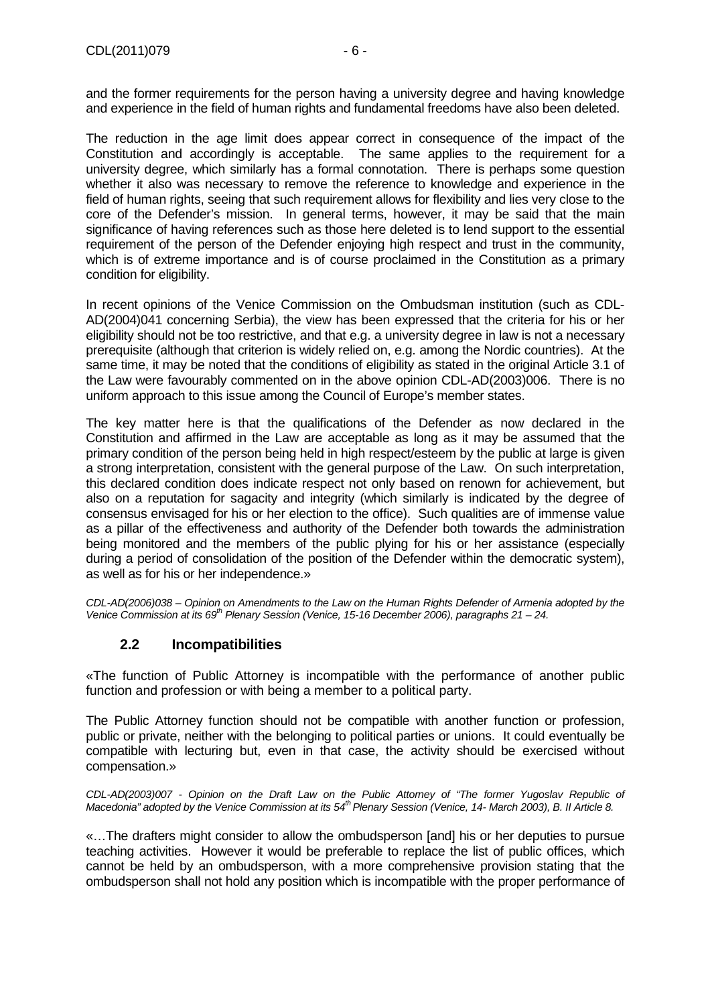and the former requirements for the person having a university degree and having knowledge and experience in the field of human rights and fundamental freedoms have also been deleted.

The reduction in the age limit does appear correct in consequence of the impact of the Constitution and accordingly is acceptable. The same applies to the requirement for a university degree, which similarly has a formal connotation. There is perhaps some question whether it also was necessary to remove the reference to knowledge and experience in the field of human rights, seeing that such requirement allows for flexibility and lies very close to the core of the Defender's mission. In general terms, however, it may be said that the main significance of having references such as those here deleted is to lend support to the essential requirement of the person of the Defender enjoying high respect and trust in the community, which is of extreme importance and is of course proclaimed in the Constitution as a primary condition for eligibility.

In recent opinions of the Venice Commission on the Ombudsman institution (such as CDL-AD(2004)041 concerning Serbia), the view has been expressed that the criteria for his or her eligibility should not be too restrictive, and that e.g. a university degree in law is not a necessary prerequisite (although that criterion is widely relied on, e.g. among the Nordic countries). At the same time, it may be noted that the conditions of eligibility as stated in the original Article 3.1 of the Law were favourably commented on in the above opinion CDL-AD(2003)006. There is no uniform approach to this issue among the Council of Europe's member states.

The key matter here is that the qualifications of the Defender as now declared in the Constitution and affirmed in the Law are acceptable as long as it may be assumed that the primary condition of the person being held in high respect/esteem by the public at large is given a strong interpretation, consistent with the general purpose of the Law. On such interpretation, this declared condition does indicate respect not only based on renown for achievement, but also on a reputation for sagacity and integrity (which similarly is indicated by the degree of consensus envisaged for his or her election to the office). Such qualities are of immense value as a pillar of the effectiveness and authority of the Defender both towards the administration being monitored and the members of the public plying for his or her assistance (especially during a period of consolidation of the position of the Defender within the democratic system), as well as for his or her independence.»

CDL-AD(2006)038 – Opinion on Amendments to the Law on the Human Rights Defender of Armenia adopted by the Venice Commission at its 69<sup>th</sup> Plenary Session (Venice, 15-16 December 2006), paragraphs 21 – 24.

# **2.2 Incompatibilities**

«The function of Public Attorney is incompatible with the performance of another public function and profession or with being a member to a political party.

The Public Attorney function should not be compatible with another function or profession, public or private, neither with the belonging to political parties or unions. It could eventually be compatible with lecturing but, even in that case, the activity should be exercised without compensation.»

CDL-AD(2003)007 - Opinion on the Draft Law on the Public Attorney of "The former Yugoslav Republic of Macedonia" adopted by the Venice Commission at its 54<sup>th</sup> Plenary Session (Venice, 14- March 2003), B. II Article 8.

«…The drafters might consider to allow the ombudsperson [and] his or her deputies to pursue teaching activities. However it would be preferable to replace the list of public offices, which cannot be held by an ombudsperson, with a more comprehensive provision stating that the ombudsperson shall not hold any position which is incompatible with the proper performance of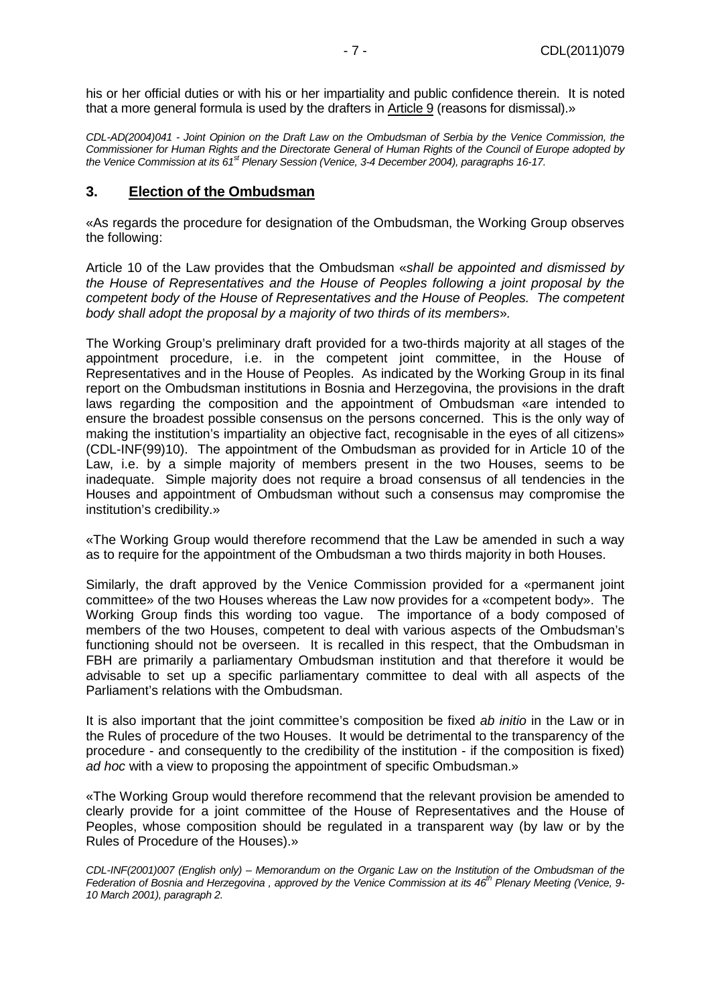his or her official duties or with his or her impartiality and public confidence therein. It is noted that a more general formula is used by the drafters in Article 9 (reasons for dismissal).»

CDL-AD(2004)041 - Joint Opinion on the Draft Law on the Ombudsman of Serbia by the Venice Commission, the Commissioner for Human Rights and the Directorate General of Human Rights of the Council of Europe adopted by the Venice Commission at its 61<sup>st</sup> Plenary Session (Venice, 3-4 December 2004), paragraphs 16-17.

#### **3. Election of the Ombudsman**

«As regards the procedure for designation of the Ombudsman, the Working Group observes the following:

Article 10 of the Law provides that the Ombudsman «shall be appointed and dismissed by the House of Representatives and the House of Peoples following a joint proposal by the competent body of the House of Representatives and the House of Peoples. The competent body shall adopt the proposal by a majority of two thirds of its members».

The Working Group's preliminary draft provided for a two-thirds majority at all stages of the appointment procedure, i.e. in the competent joint committee, in the House of Representatives and in the House of Peoples. As indicated by the Working Group in its final report on the Ombudsman institutions in Bosnia and Herzegovina, the provisions in the draft laws regarding the composition and the appointment of Ombudsman «are intended to ensure the broadest possible consensus on the persons concerned. This is the only way of making the institution's impartiality an objective fact, recognisable in the eyes of all citizens» (CDL-INF(99)10). The appointment of the Ombudsman as provided for in Article 10 of the Law, i.e. by a simple majority of members present in the two Houses, seems to be inadequate. Simple majority does not require a broad consensus of all tendencies in the Houses and appointment of Ombudsman without such a consensus may compromise the institution's credibility.»

«The Working Group would therefore recommend that the Law be amended in such a way as to require for the appointment of the Ombudsman a two thirds majority in both Houses.

Similarly, the draft approved by the Venice Commission provided for a «permanent joint committee» of the two Houses whereas the Law now provides for a «competent body». The Working Group finds this wording too vague. The importance of a body composed of members of the two Houses, competent to deal with various aspects of the Ombudsman's functioning should not be overseen. It is recalled in this respect, that the Ombudsman in FBH are primarily a parliamentary Ombudsman institution and that therefore it would be advisable to set up a specific parliamentary committee to deal with all aspects of the Parliament's relations with the Ombudsman.

It is also important that the joint committee's composition be fixed ab *initio* in the Law or in the Rules of procedure of the two Houses. It would be detrimental to the transparency of the procedure - and consequently to the credibility of the institution - if the composition is fixed) ad hoc with a view to proposing the appointment of specific Ombudsman.»

«The Working Group would therefore recommend that the relevant provision be amended to clearly provide for a joint committee of the House of Representatives and the House of Peoples, whose composition should be regulated in a transparent way (by law or by the Rules of Procedure of the Houses).»

CDL-INF(2001)007 (English only) – Memorandum on the Organic Law on the Institution of the Ombudsman of the Federation of Bosnia and Herzegovina, approved by the Venice Commission at its  $46^{th}$  Plenary Meeting (Venice, 9-10 March 2001), paragraph 2.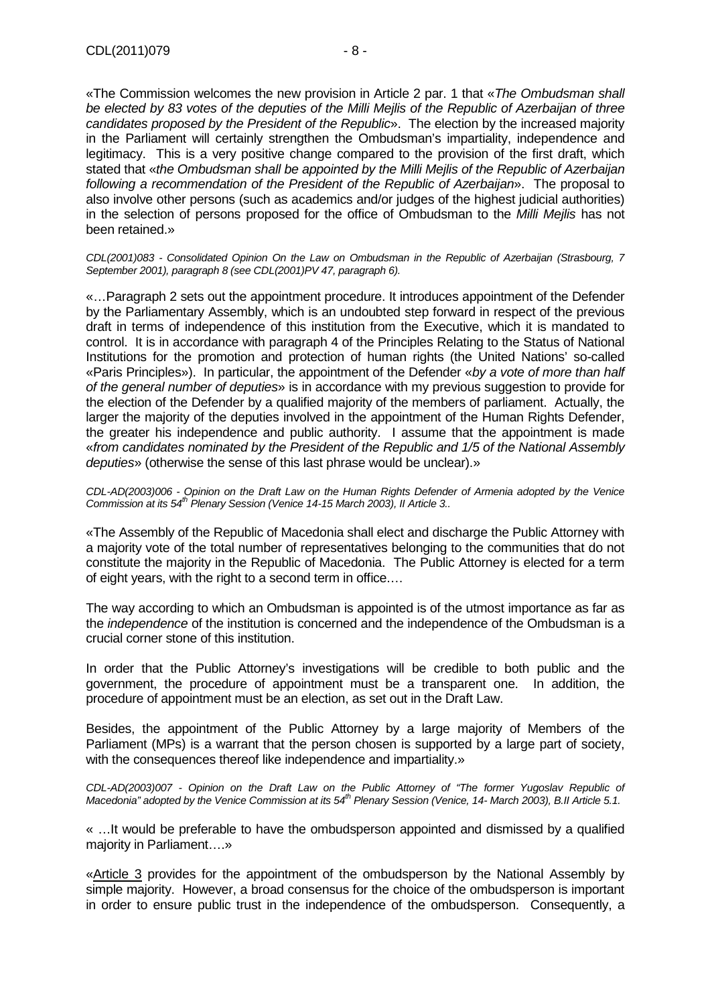«The Commission welcomes the new provision in Article 2 par. 1 that «The Ombudsman shall be elected by 83 votes of the deputies of the Milli Mejlis of the Republic of Azerbaijan of three candidates proposed by the President of the Republic». The election by the increased majority in the Parliament will certainly strengthen the Ombudsman's impartiality, independence and legitimacy. This is a very positive change compared to the provision of the first draft, which stated that «the Ombudsman shall be appointed by the Milli Mejlis of the Republic of Azerbaijan following a recommendation of the President of the Republic of Azerbaijan». The proposal to also involve other persons (such as academics and/or judges of the highest judicial authorities) in the selection of persons proposed for the office of Ombudsman to the Milli Mejlis has not been retained.»

CDL(2001)083 - Consolidated Opinion On the Law on Ombudsman in the Republic of Azerbaijan (Strasbourg, 7 September 2001), paragraph 8 (see CDL(2001)PV 47, paragraph 6).

«…Paragraph 2 sets out the appointment procedure. It introduces appointment of the Defender by the Parliamentary Assembly, which is an undoubted step forward in respect of the previous draft in terms of independence of this institution from the Executive, which it is mandated to control. It is in accordance with paragraph 4 of the Principles Relating to the Status of National Institutions for the promotion and protection of human rights (the United Nations' so-called «Paris Principles»). In particular, the appointment of the Defender «by a vote of more than half of the general number of deputies» is in accordance with my previous suggestion to provide for the election of the Defender by a qualified majority of the members of parliament. Actually, the larger the majority of the deputies involved in the appointment of the Human Rights Defender, the greater his independence and public authority. I assume that the appointment is made «from candidates nominated by the President of the Republic and 1/5 of the National Assembly deputies» (otherwise the sense of this last phrase would be unclear).»

CDL-AD(2003)006 - Opinion on the Draft Law on the Human Rights Defender of Armenia adopted by the Venice Commission at its 54<sup>th</sup> Plenary Session (Venice 14-15 March 2003), Il Article 3..

«The Assembly of the Republic of Macedonia shall elect and discharge the Public Attorney with a majority vote of the total number of representatives belonging to the communities that do not constitute the majority in the Republic of Macedonia. The Public Attorney is elected for a term of eight years, with the right to a second term in office.…

The way according to which an Ombudsman is appointed is of the utmost importance as far as the *independence* of the institution is concerned and the independence of the Ombudsman is a crucial corner stone of this institution.

In order that the Public Attorney's investigations will be credible to both public and the government, the procedure of appointment must be a transparent one. In addition, the procedure of appointment must be an election, as set out in the Draft Law.

Besides, the appointment of the Public Attorney by a large majority of Members of the Parliament (MPs) is a warrant that the person chosen is supported by a large part of society, with the consequences thereof like independence and impartiality.»

CDL-AD(2003)007 - Opinion on the Draft Law on the Public Attorney of "The former Yugoslav Republic of Macedonia" adopted by the Venice Commission at its 54<sup>th</sup> Plenary Session (Venice, 14- March 2003), B.II Article 5.1.

« …It would be preferable to have the ombudsperson appointed and dismissed by a qualified majority in Parliament….»

«Article 3 provides for the appointment of the ombudsperson by the National Assembly by simple majority. However, a broad consensus for the choice of the ombudsperson is important in order to ensure public trust in the independence of the ombudsperson. Consequently, a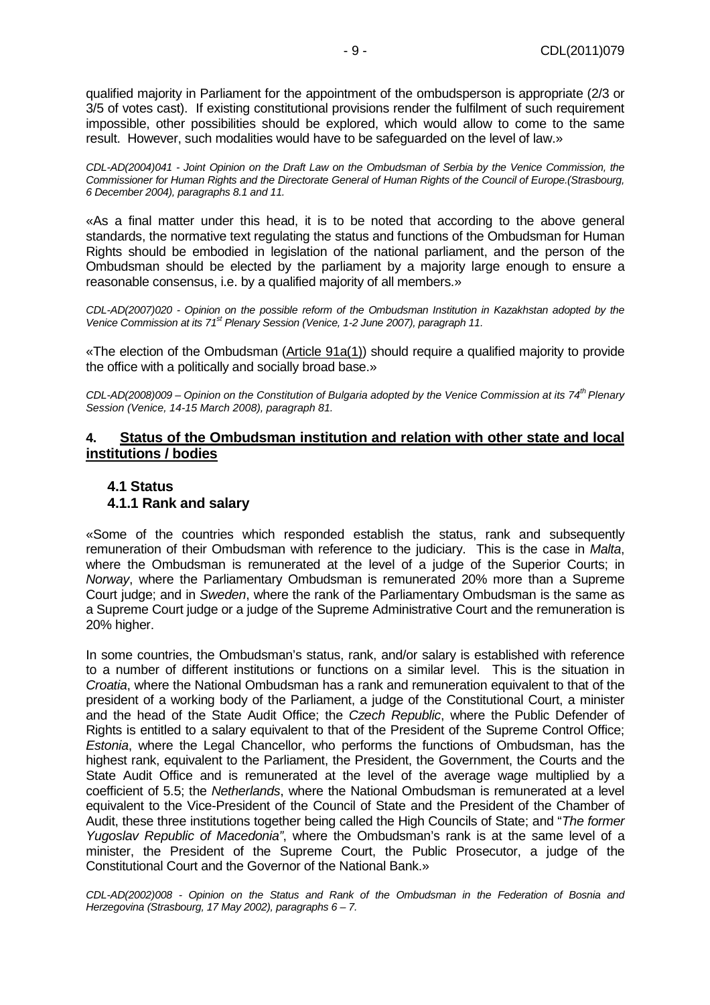qualified majority in Parliament for the appointment of the ombudsperson is appropriate (2/3 or 3/5 of votes cast). If existing constitutional provisions render the fulfilment of such requirement impossible, other possibilities should be explored, which would allow to come to the same result. However, such modalities would have to be safeguarded on the level of law.»

CDL-AD(2004)041 - Joint Opinion on the Draft Law on the Ombudsman of Serbia by the Venice Commission, the Commissioner for Human Rights and the Directorate General of Human Rights of the Council of Europe.(Strasbourg, 6 December 2004), paragraphs 8.1 and 11.

«As a final matter under this head, it is to be noted that according to the above general standards, the normative text regulating the status and functions of the Ombudsman for Human Rights should be embodied in legislation of the national parliament, and the person of the Ombudsman should be elected by the parliament by a majority large enough to ensure a reasonable consensus, i.e. by a qualified majority of all members.»

CDL-AD(2007)020 - Opinion on the possible reform of the Ombudsman Institution in Kazakhstan adopted by the Venice Commission at its 71<sup>st</sup> Plenary Session (Venice, 1-2 June 2007), paragraph 11.

«The election of the Ombudsman (Article 91a(1)) should require a qualified majority to provide the office with a politically and socially broad base.»

CDL-AD(2008)009 – Opinion on the Constitution of Bulgaria adopted by the Venice Commission at its 74<sup>th</sup> Plenary Session (Venice, 14-15 March 2008), paragraph 81.

#### **4. Status of the Ombudsman institution and relation with other state and local institutions / bodies**

#### **4.1 Status 4.1.1 Rank and salary**

«Some of the countries which responded establish the status, rank and subsequently remuneration of their Ombudsman with reference to the judiciary. This is the case in Malta, where the Ombudsman is remunerated at the level of a judge of the Superior Courts; in Norway, where the Parliamentary Ombudsman is remunerated 20% more than a Supreme Court judge; and in Sweden, where the rank of the Parliamentary Ombudsman is the same as a Supreme Court judge or a judge of the Supreme Administrative Court and the remuneration is 20% higher.

In some countries, the Ombudsman's status, rank, and/or salary is established with reference to a number of different institutions or functions on a similar level. This is the situation in Croatia, where the National Ombudsman has a rank and remuneration equivalent to that of the president of a working body of the Parliament, a judge of the Constitutional Court, a minister and the head of the State Audit Office; the Czech Republic, where the Public Defender of Rights is entitled to a salary equivalent to that of the President of the Supreme Control Office; Estonia, where the Legal Chancellor, who performs the functions of Ombudsman, has the highest rank, equivalent to the Parliament, the President, the Government, the Courts and the State Audit Office and is remunerated at the level of the average wage multiplied by a coefficient of 5.5; the Netherlands, where the National Ombudsman is remunerated at a level equivalent to the Vice-President of the Council of State and the President of the Chamber of Audit, these three institutions together being called the High Councils of State; and "The former Yugoslav Republic of Macedonia", where the Ombudsman's rank is at the same level of a minister, the President of the Supreme Court, the Public Prosecutor, a judge of the Constitutional Court and the Governor of the National Bank.»

CDL-AD(2002)008 - Opinion on the Status and Rank of the Ombudsman in the Federation of Bosnia and Herzegovina (Strasbourg, 17 May 2002), paragraphs 6 – 7.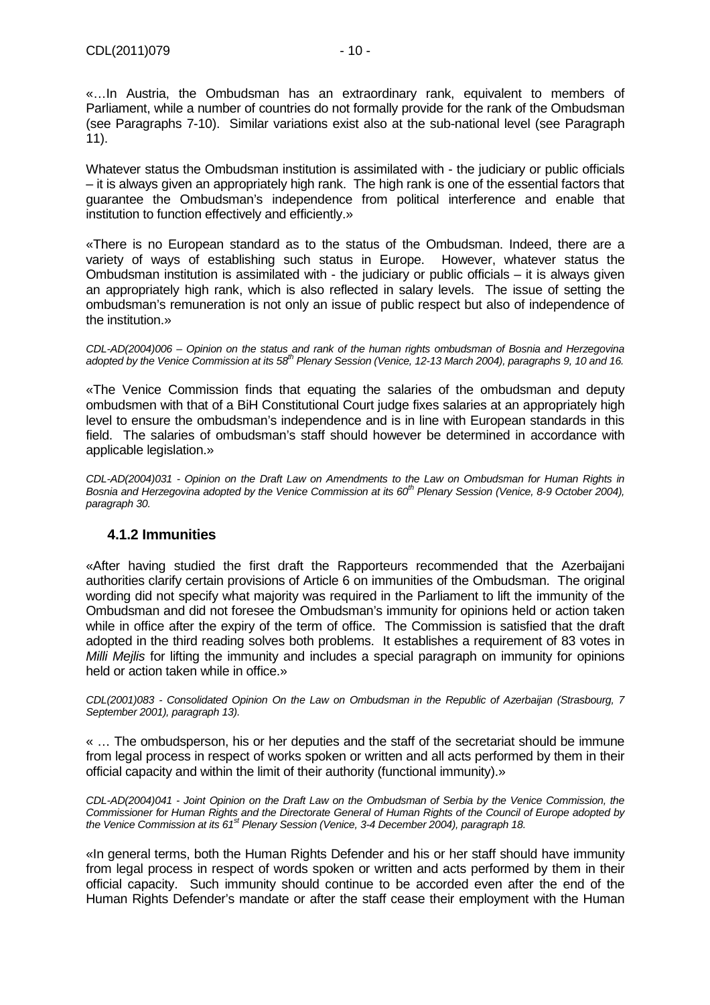«…In Austria, the Ombudsman has an extraordinary rank, equivalent to members of Parliament, while a number of countries do not formally provide for the rank of the Ombudsman (see Paragraphs 7-10). Similar variations exist also at the sub-national level (see Paragraph 11).

Whatever status the Ombudsman institution is assimilated with - the judiciary or public officials – it is always given an appropriately high rank. The high rank is one of the essential factors that guarantee the Ombudsman's independence from political interference and enable that institution to function effectively and efficiently.»

«There is no European standard as to the status of the Ombudsman. Indeed, there are a variety of ways of establishing such status in Europe. However, whatever status the Ombudsman institution is assimilated with - the judiciary or public officials – it is always given an appropriately high rank, which is also reflected in salary levels. The issue of setting the ombudsman's remuneration is not only an issue of public respect but also of independence of the institution.»

CDL-AD(2004)006 – Opinion on the status and rank of the human rights ombudsman of Bosnia and Herzegovina adopted by the Venice Commission at its 58<sup>th</sup> Plenary Session (Venice, 12-13 March 2004), paragraphs 9, 10 and 16.

«The Venice Commission finds that equating the salaries of the ombudsman and deputy ombudsmen with that of a BiH Constitutional Court judge fixes salaries at an appropriately high level to ensure the ombudsman's independence and is in line with European standards in this field. The salaries of ombudsman's staff should however be determined in accordance with applicable legislation.»

CDL-AD(2004)031 - Opinion on the Draft Law on Amendments to the Law on Ombudsman for Human Rights in Bosnia and Herzegovina adopted by the Venice Commission at its 60<sup>th</sup> Plenary Session (Venice, 8-9 October 2004), paragraph 30.

## **4.1.2 Immunities**

«After having studied the first draft the Rapporteurs recommended that the Azerbaijani authorities clarify certain provisions of Article 6 on immunities of the Ombudsman. The original wording did not specify what majority was required in the Parliament to lift the immunity of the Ombudsman and did not foresee the Ombudsman's immunity for opinions held or action taken while in office after the expiry of the term of office. The Commission is satisfied that the draft adopted in the third reading solves both problems. It establishes a requirement of 83 votes in *Milli Meilis* for lifting the immunity and includes a special paragraph on immunity for opinions held or action taken while in office.»

CDL(2001)083 - Consolidated Opinion On the Law on Ombudsman in the Republic of Azerbaijan (Strasbourg, 7 September 2001), paragraph 13).

« … The ombudsperson, his or her deputies and the staff of the secretariat should be immune from legal process in respect of works spoken or written and all acts performed by them in their official capacity and within the limit of their authority (functional immunity).»

CDL-AD(2004)041 - Joint Opinion on the Draft Law on the Ombudsman of Serbia by the Venice Commission, the Commissioner for Human Rights and the Directorate General of Human Rights of the Council of Europe adopted by the Venice Commission at its  $61<sup>st</sup>$  Plenary Session (Venice, 3-4 December 2004), paragraph 18.

«In general terms, both the Human Rights Defender and his or her staff should have immunity from legal process in respect of words spoken or written and acts performed by them in their official capacity. Such immunity should continue to be accorded even after the end of the Human Rights Defender's mandate or after the staff cease their employment with the Human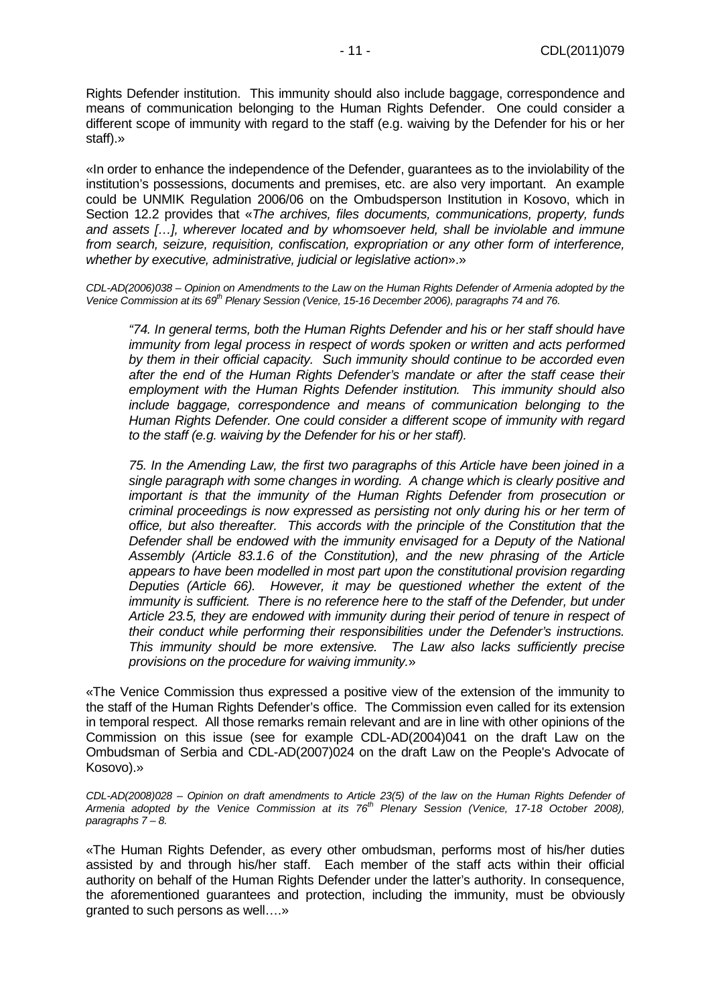Rights Defender institution. This immunity should also include baggage, correspondence and means of communication belonging to the Human Rights Defender. One could consider a different scope of immunity with regard to the staff (e.g. waiving by the Defender for his or her staff).»

«In order to enhance the independence of the Defender, guarantees as to the inviolability of the institution's possessions, documents and premises, etc. are also very important. An example could be UNMIK Regulation 2006/06 on the Ombudsperson Institution in Kosovo, which in Section 12.2 provides that «The archives, files documents, communications, property, funds and assets […], wherever located and by whomsoever held, shall be inviolable and immune from search, seizure, requisition, confiscation, expropriation or any other form of interference, whether by executive, administrative, judicial or legislative action».»

CDL-AD(2006)038 – Opinion on Amendments to the Law on the Human Rights Defender of Armenia adopted by the Venice Commission at its 69<sup>th</sup> Plenary Session (Venice, 15-16 December 2006), paragraphs 74 and 76.

"74. In general terms, both the Human Rights Defender and his or her staff should have immunity from legal process in respect of words spoken or written and acts performed by them in their official capacity. Such immunity should continue to be accorded even after the end of the Human Rights Defender's mandate or after the staff cease their employment with the Human Rights Defender institution. This immunity should also include baggage, correspondence and means of communication belonging to the Human Rights Defender. One could consider a different scope of immunity with regard to the staff (e.g. waiving by the Defender for his or her staff).

75. In the Amending Law, the first two paragraphs of this Article have been joined in a single paragraph with some changes in wording. A change which is clearly positive and important is that the immunity of the Human Rights Defender from prosecution or criminal proceedings is now expressed as persisting not only during his or her term of office, but also thereafter. This accords with the principle of the Constitution that the Defender shall be endowed with the immunity envisaged for a Deputy of the National Assembly (Article 83.1.6 of the Constitution), and the new phrasing of the Article appears to have been modelled in most part upon the constitutional provision regarding Deputies (Article 66). However, it may be questioned whether the extent of the immunity is sufficient. There is no reference here to the staff of the Defender, but under Article 23.5, they are endowed with immunity during their period of tenure in respect of their conduct while performing their responsibilities under the Defender's instructions. This immunity should be more extensive. The Law also lacks sufficiently precise provisions on the procedure for waiving immunity.»

«The Venice Commission thus expressed a positive view of the extension of the immunity to the staff of the Human Rights Defender's office. The Commission even called for its extension in temporal respect. All those remarks remain relevant and are in line with other opinions of the Commission on this issue (see for example CDL-AD(2004)041 on the draft Law on the Ombudsman of Serbia and CDL-AD(2007)024 on the draft Law on the People's Advocate of Kosovo).»

CDL-AD(2008)028 – Opinion on draft amendments to Article 23(5) of the law on the Human Rights Defender of Armenia adopted by the Venice Commission at its 76<sup>th</sup> Plenary Session (Venice, 17-18 October 2008), paragraphs  $7 - 8$ .

«The Human Rights Defender, as every other ombudsman, performs most of his/her duties assisted by and through his/her staff. Each member of the staff acts within their official authority on behalf of the Human Rights Defender under the latter's authority. In consequence, the aforementioned guarantees and protection, including the immunity, must be obviously granted to such persons as well….»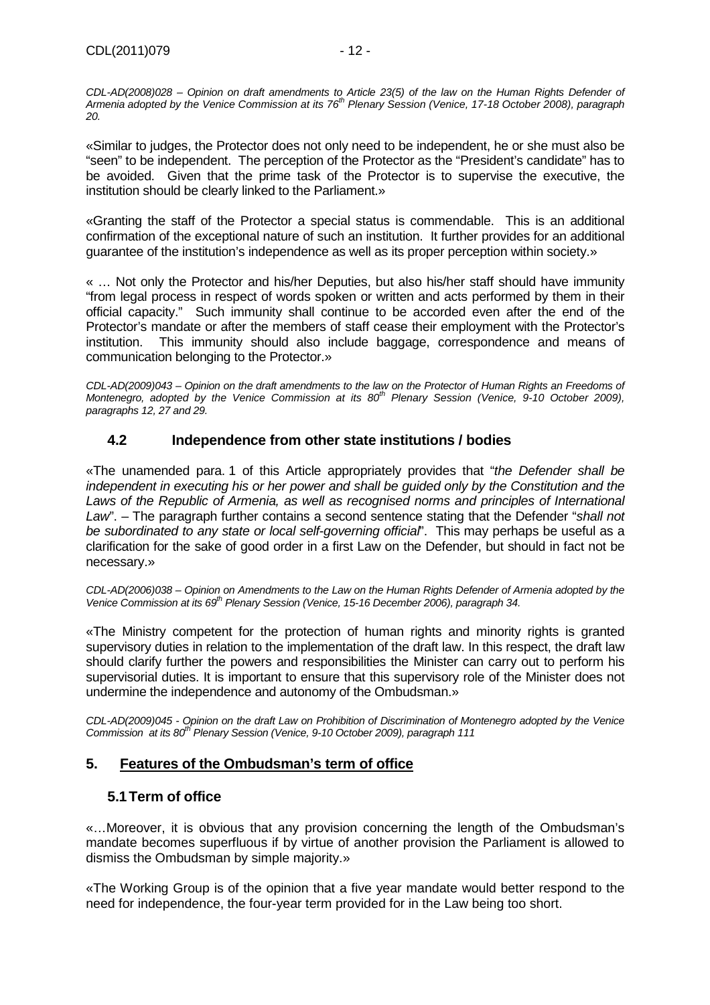CDL-AD(2008)028 – Opinion on draft amendments to Article 23(5) of the law on the Human Rights Defender of Armenia adopted by the Venice Commission at its 76<sup>th</sup> Plenary Session (Venice, 17-18 October 2008), paragraph 20.

«Similar to judges, the Protector does not only need to be independent, he or she must also be "seen" to be independent. The perception of the Protector as the "President's candidate" has to be avoided. Given that the prime task of the Protector is to supervise the executive, the institution should be clearly linked to the Parliament.»

«Granting the staff of the Protector a special status is commendable. This is an additional confirmation of the exceptional nature of such an institution. It further provides for an additional guarantee of the institution's independence as well as its proper perception within society.»

« … Not only the Protector and his/her Deputies, but also his/her staff should have immunity "from legal process in respect of words spoken or written and acts performed by them in their official capacity." Such immunity shall continue to be accorded even after the end of the Protector's mandate or after the members of staff cease their employment with the Protector's institution. This immunity should also include baggage, correspondence and means of communication belonging to the Protector.»

CDL-AD(2009)043 – Opinion on the draft amendments to the law on the Protector of Human Rights an Freedoms of Montenegro, adopted by the Venice Commission at its  $80^{th}$  Plenary Session (Venice,  $9-10$  October 2009), paragraphs 12, 27 and 29.

# **4.2 Independence from other state institutions / bodies**

«The unamended para. 1 of this Article appropriately provides that "the Defender shall be independent in executing his or her power and shall be guided only by the Constitution and the Laws of the Republic of Armenia, as well as recognised norms and principles of International Law". – The paragraph further contains a second sentence stating that the Defender "shall not be subordinated to any state or local self-governing official". This may perhaps be useful as a clarification for the sake of good order in a first Law on the Defender, but should in fact not be necessary.»

CDL-AD(2006)038 – Opinion on Amendments to the Law on the Human Rights Defender of Armenia adopted by the Venice Commission at its 69<sup>th</sup> Plenary Session (Venice, 15-16 December 2006), paragraph 34.

«The Ministry competent for the protection of human rights and minority rights is granted supervisory duties in relation to the implementation of the draft law. In this respect, the draft law should clarify further the powers and responsibilities the Minister can carry out to perform his supervisorial duties. It is important to ensure that this supervisory role of the Minister does not undermine the independence and autonomy of the Ombudsman.»

CDL-AD(2009)045 - Opinion on the draft Law on Prohibition of Discrimination of Montenegro adopted by the Venice Commission at its 80<sup>th</sup> Plenary Session (Venice, 9-10 October 2009), paragraph 111

## **5. Features of the Ombudsman's term of office**

## **5.1 Term of office**

«…Moreover, it is obvious that any provision concerning the length of the Ombudsman's mandate becomes superfluous if by virtue of another provision the Parliament is allowed to dismiss the Ombudsman by simple majority.»

«The Working Group is of the opinion that a five year mandate would better respond to the need for independence, the four-year term provided for in the Law being too short.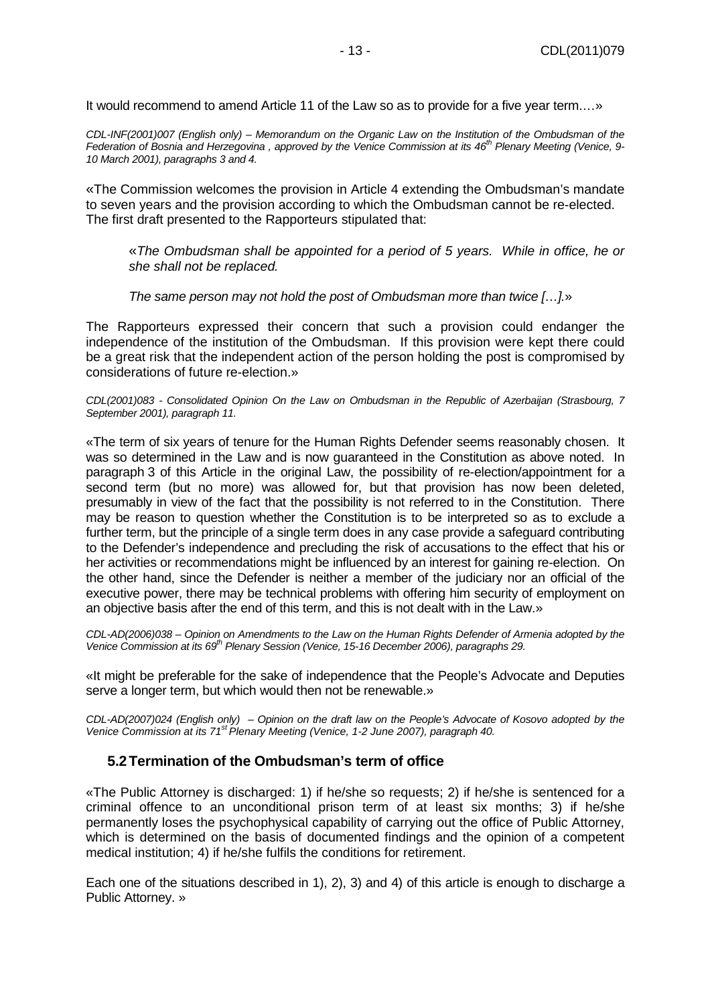It would recommend to amend Article 11 of the Law so as to provide for a five year term.…»

CDL-INF(2001)007 (English only) – Memorandum on the Organic Law on the Institution of the Ombudsman of the Federation of Bosnia and Herzegovina, approved by the Venice Commission at its  $46^{th}$  Plenary Meeting (Venice, 9-10 March 2001), paragraphs 3 and 4.

«The Commission welcomes the provision in Article 4 extending the Ombudsman's mandate to seven years and the provision according to which the Ombudsman cannot be re-elected. The first draft presented to the Rapporteurs stipulated that:

«The Ombudsman shall be appointed for a period of 5 years. While in office, he or she shall not be replaced.

The same person may not hold the post of Ombudsman more than twice […].»

The Rapporteurs expressed their concern that such a provision could endanger the independence of the institution of the Ombudsman. If this provision were kept there could be a great risk that the independent action of the person holding the post is compromised by considerations of future re-election.»

CDL(2001)083 - Consolidated Opinion On the Law on Ombudsman in the Republic of Azerbaijan (Strasbourg, 7 September 2001), paragraph 11.

«The term of six years of tenure for the Human Rights Defender seems reasonably chosen. It was so determined in the Law and is now guaranteed in the Constitution as above noted. In paragraph 3 of this Article in the original Law, the possibility of re-election/appointment for a second term (but no more) was allowed for, but that provision has now been deleted, presumably in view of the fact that the possibility is not referred to in the Constitution. There may be reason to question whether the Constitution is to be interpreted so as to exclude a further term, but the principle of a single term does in any case provide a safeguard contributing to the Defender's independence and precluding the risk of accusations to the effect that his or her activities or recommendations might be influenced by an interest for gaining re-election. On the other hand, since the Defender is neither a member of the judiciary nor an official of the executive power, there may be technical problems with offering him security of employment on an objective basis after the end of this term, and this is not dealt with in the Law.»

CDL-AD(2006)038 – Opinion on Amendments to the Law on the Human Rights Defender of Armenia adopted by the Venice Commission at its 69<sup>th</sup> Plenary Session (Venice, 15-16 December 2006), paragraphs 29.

«It might be preferable for the sake of independence that the People's Advocate and Deputies serve a longer term, but which would then not be renewable.»

CDL-AD(2007)024 (English only) – Opinion on the draft law on the People's Advocate of Kosovo adopted by the Venice Commission at its 71<sup>st</sup> Plenary Meeting (Venice, 1-2 June 2007), paragraph 40.

#### **5.2 Termination of the Ombudsman's term of office**

«The Public Attorney is discharged: 1) if he/she so requests; 2) if he/she is sentenced for a criminal offence to an unconditional prison term of at least six months; 3) if he/she permanently loses the psychophysical capability of carrying out the office of Public Attorney, which is determined on the basis of documented findings and the opinion of a competent medical institution; 4) if he/she fulfils the conditions for retirement.

Each one of the situations described in 1), 2), 3) and 4) of this article is enough to discharge a Public Attorney. »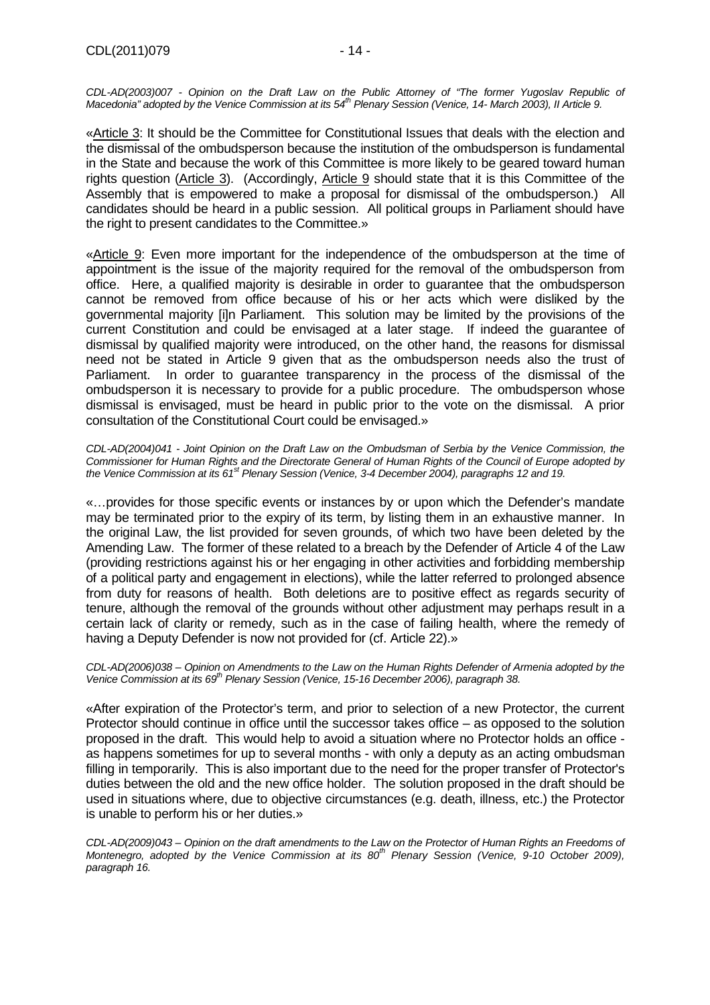CDL-AD(2003)007 - Opinion on the Draft Law on the Public Attorney of "The former Yugoslav Republic of Macedonia" adopted by the Venice Commission at its 54<sup>th</sup> Plenary Session (Venice, 14- March 2003), II Article 9.

«Article 3: It should be the Committee for Constitutional Issues that deals with the election and the dismissal of the ombudsperson because the institution of the ombudsperson is fundamental in the State and because the work of this Committee is more likely to be geared toward human rights question (Article 3). (Accordingly, Article 9 should state that it is this Committee of the Assembly that is empowered to make a proposal for dismissal of the ombudsperson.) All candidates should be heard in a public session. All political groups in Parliament should have the right to present candidates to the Committee.»

«Article 9: Even more important for the independence of the ombudsperson at the time of appointment is the issue of the majority required for the removal of the ombudsperson from office. Here, a qualified majority is desirable in order to guarantee that the ombudsperson cannot be removed from office because of his or her acts which were disliked by the governmental majority [i]n Parliament. This solution may be limited by the provisions of the current Constitution and could be envisaged at a later stage. If indeed the guarantee of dismissal by qualified majority were introduced, on the other hand, the reasons for dismissal need not be stated in Article 9 given that as the ombudsperson needs also the trust of Parliament. In order to guarantee transparency in the process of the dismissal of the ombudsperson it is necessary to provide for a public procedure. The ombudsperson whose dismissal is envisaged, must be heard in public prior to the vote on the dismissal. A prior consultation of the Constitutional Court could be envisaged.»

CDL-AD(2004)041 - Joint Opinion on the Draft Law on the Ombudsman of Serbia by the Venice Commission, the Commissioner for Human Rights and the Directorate General of Human Rights of the Council of Europe adopted by the Venice Commission at its 61<sup>st</sup> Plenary Session (Venice, 3-4 December 2004), paragraphs 12 and 19.

«…provides for those specific events or instances by or upon which the Defender's mandate may be terminated prior to the expiry of its term, by listing them in an exhaustive manner. In the original Law, the list provided for seven grounds, of which two have been deleted by the Amending Law. The former of these related to a breach by the Defender of Article 4 of the Law (providing restrictions against his or her engaging in other activities and forbidding membership of a political party and engagement in elections), while the latter referred to prolonged absence from duty for reasons of health. Both deletions are to positive effect as regards security of tenure, although the removal of the grounds without other adjustment may perhaps result in a certain lack of clarity or remedy, such as in the case of failing health, where the remedy of having a Deputy Defender is now not provided for (cf. Article 22).»

CDL-AD(2006)038 – Opinion on Amendments to the Law on the Human Rights Defender of Armenia adopted by the Venice Commission at its 69<sup>th</sup> Plenary Session (Venice, 15-16 December 2006), paragraph 38.

«After expiration of the Protector's term, and prior to selection of a new Protector, the current Protector should continue in office until the successor takes office – as opposed to the solution proposed in the draft. This would help to avoid a situation where no Protector holds an office as happens sometimes for up to several months - with only a deputy as an acting ombudsman filling in temporarily. This is also important due to the need for the proper transfer of Protector's duties between the old and the new office holder. The solution proposed in the draft should be used in situations where, due to objective circumstances (e.g. death, illness, etc.) the Protector is unable to perform his or her duties.»

CDL-AD(2009)043 – Opinion on the draft amendments to the Law on the Protector of Human Rights an Freedoms of Montenegro, adopted by the Venice Commission at its  $80<sup>th</sup>$  Plenary Session (Venice, 9-10 October 2009), paragraph 16.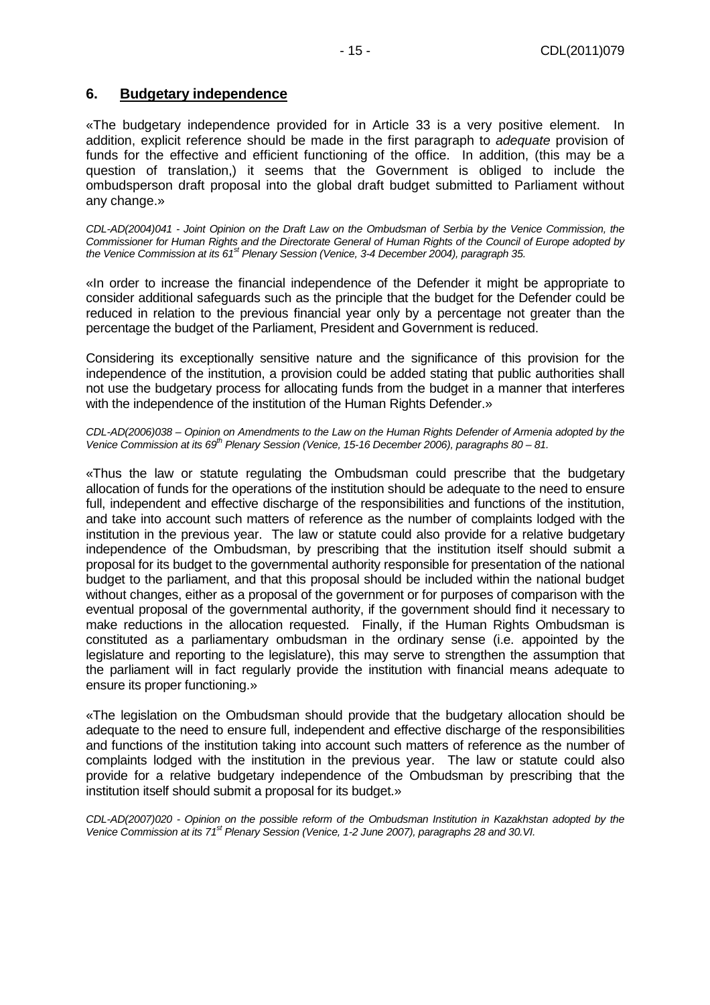#### **6. Budgetary independence**

«The budgetary independence provided for in Article 33 is a very positive element. In addition, explicit reference should be made in the first paragraph to adequate provision of funds for the effective and efficient functioning of the office. In addition, (this may be a question of translation,) it seems that the Government is obliged to include the ombudsperson draft proposal into the global draft budget submitted to Parliament without any change.»

CDL-AD(2004)041 - Joint Opinion on the Draft Law on the Ombudsman of Serbia by the Venice Commission, the Commissioner for Human Rights and the Directorate General of Human Rights of the Council of Europe adopted by the Venice Commission at its 61<sup>st</sup> Plenary Session (Venice, 3-4 December 2004), paragraph 35.

«In order to increase the financial independence of the Defender it might be appropriate to consider additional safeguards such as the principle that the budget for the Defender could be reduced in relation to the previous financial year only by a percentage not greater than the percentage the budget of the Parliament, President and Government is reduced.

Considering its exceptionally sensitive nature and the significance of this provision for the independence of the institution, a provision could be added stating that public authorities shall not use the budgetary process for allocating funds from the budget in a manner that interferes with the independence of the institution of the Human Rights Defender.»

CDL-AD(2006)038 – Opinion on Amendments to the Law on the Human Rights Defender of Armenia adopted by the Venice Commission at its  $69^{th}$  Plenary Session (Venice, 15-16 December 2006), paragraphs 80 – 81.

«Thus the law or statute regulating the Ombudsman could prescribe that the budgetary allocation of funds for the operations of the institution should be adequate to the need to ensure full, independent and effective discharge of the responsibilities and functions of the institution, and take into account such matters of reference as the number of complaints lodged with the institution in the previous year. The law or statute could also provide for a relative budgetary independence of the Ombudsman, by prescribing that the institution itself should submit a proposal for its budget to the governmental authority responsible for presentation of the national budget to the parliament, and that this proposal should be included within the national budget without changes, either as a proposal of the government or for purposes of comparison with the eventual proposal of the governmental authority, if the government should find it necessary to make reductions in the allocation requested. Finally, if the Human Rights Ombudsman is constituted as a parliamentary ombudsman in the ordinary sense (i.e. appointed by the legislature and reporting to the legislature), this may serve to strengthen the assumption that the parliament will in fact regularly provide the institution with financial means adequate to ensure its proper functioning.»

«The legislation on the Ombudsman should provide that the budgetary allocation should be adequate to the need to ensure full, independent and effective discharge of the responsibilities and functions of the institution taking into account such matters of reference as the number of complaints lodged with the institution in the previous year. The law or statute could also provide for a relative budgetary independence of the Ombudsman by prescribing that the institution itself should submit a proposal for its budget.»

CDL-AD(2007)020 - Opinion on the possible reform of the Ombudsman Institution in Kazakhstan adopted by the Venice Commission at its 71<sup>st</sup> Plenary Session (Venice, 1-2 June 2007), paragraphs 28 and 30.VI.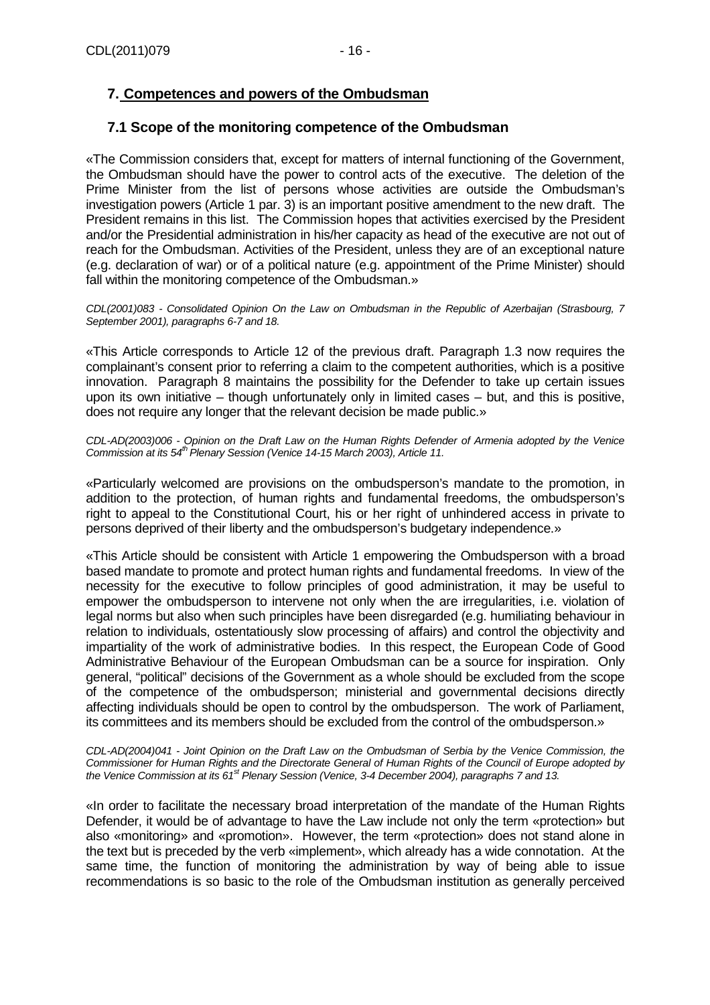# **7. Competences and powers of the Ombudsman**

# **7.1 Scope of the monitoring competence of the Ombudsman**

«The Commission considers that, except for matters of internal functioning of the Government, the Ombudsman should have the power to control acts of the executive. The deletion of the Prime Minister from the list of persons whose activities are outside the Ombudsman's investigation powers (Article 1 par. 3) is an important positive amendment to the new draft. The President remains in this list. The Commission hopes that activities exercised by the President and/or the Presidential administration in his/her capacity as head of the executive are not out of reach for the Ombudsman. Activities of the President, unless they are of an exceptional nature (e.g. declaration of war) or of a political nature (e.g. appointment of the Prime Minister) should fall within the monitoring competence of the Ombudsman.»

CDL(2001)083 - Consolidated Opinion On the Law on Ombudsman in the Republic of Azerbaijan (Strasbourg, 7 September 2001), paragraphs 6-7 and 18.

«This Article corresponds to Article 12 of the previous draft. Paragraph 1.3 now requires the complainant's consent prior to referring a claim to the competent authorities, which is a positive innovation. Paragraph 8 maintains the possibility for the Defender to take up certain issues upon its own initiative – though unfortunately only in limited cases – but, and this is positive, does not require any longer that the relevant decision be made public.»

CDL-AD(2003)006 - Opinion on the Draft Law on the Human Rights Defender of Armenia adopted by the Venice Commission at its 54<sup>th</sup> Plenary Session (Venice 14-15 March 2003), Article 11.

«Particularly welcomed are provisions on the ombudsperson's mandate to the promotion, in addition to the protection, of human rights and fundamental freedoms, the ombudsperson's right to appeal to the Constitutional Court, his or her right of unhindered access in private to persons deprived of their liberty and the ombudsperson's budgetary independence.»

«This Article should be consistent with Article 1 empowering the Ombudsperson with a broad based mandate to promote and protect human rights and fundamental freedoms. In view of the necessity for the executive to follow principles of good administration, it may be useful to empower the ombudsperson to intervene not only when the are irregularities, i.e. violation of legal norms but also when such principles have been disregarded (e.g. humiliating behaviour in relation to individuals, ostentatiously slow processing of affairs) and control the objectivity and impartiality of the work of administrative bodies. In this respect, the European Code of Good Administrative Behaviour of the European Ombudsman can be a source for inspiration. Only general, "political" decisions of the Government as a whole should be excluded from the scope of the competence of the ombudsperson; ministerial and governmental decisions directly affecting individuals should be open to control by the ombudsperson. The work of Parliament, its committees and its members should be excluded from the control of the ombudsperson.»

CDL-AD(2004)041 - Joint Opinion on the Draft Law on the Ombudsman of Serbia by the Venice Commission, the Commissioner for Human Rights and the Directorate General of Human Rights of the Council of Europe adopted by the Venice Commission at its 61<sup>st</sup> Plenary Session (Venice, 3-4 December 2004), paragraphs 7 and 13.

«In order to facilitate the necessary broad interpretation of the mandate of the Human Rights Defender, it would be of advantage to have the Law include not only the term «protection» but also «monitoring» and «promotion». However, the term «protection» does not stand alone in the text but is preceded by the verb «implement», which already has a wide connotation. At the same time, the function of monitoring the administration by way of being able to issue recommendations is so basic to the role of the Ombudsman institution as generally perceived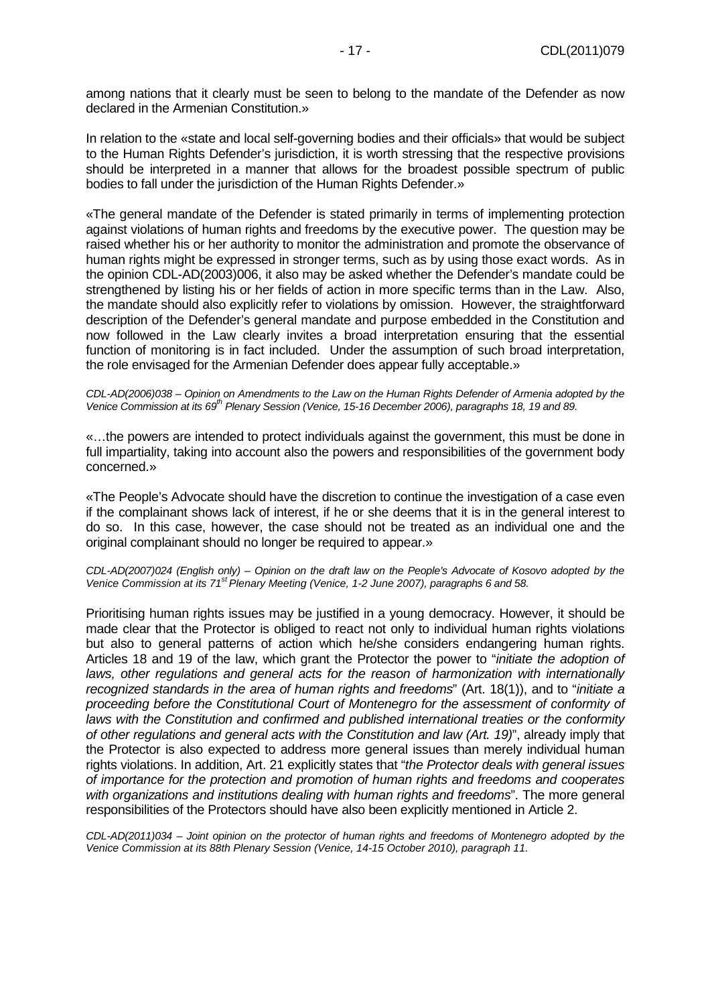among nations that it clearly must be seen to belong to the mandate of the Defender as now declared in the Armenian Constitution.»

In relation to the «state and local self-governing bodies and their officials» that would be subject to the Human Rights Defender's jurisdiction, it is worth stressing that the respective provisions should be interpreted in a manner that allows for the broadest possible spectrum of public bodies to fall under the jurisdiction of the Human Rights Defender.»

«The general mandate of the Defender is stated primarily in terms of implementing protection against violations of human rights and freedoms by the executive power. The question may be raised whether his or her authority to monitor the administration and promote the observance of human rights might be expressed in stronger terms, such as by using those exact words. As in the opinion CDL-AD(2003)006, it also may be asked whether the Defender's mandate could be strengthened by listing his or her fields of action in more specific terms than in the Law. Also, the mandate should also explicitly refer to violations by omission. However, the straightforward description of the Defender's general mandate and purpose embedded in the Constitution and now followed in the Law clearly invites a broad interpretation ensuring that the essential function of monitoring is in fact included. Under the assumption of such broad interpretation, the role envisaged for the Armenian Defender does appear fully acceptable.»

#### CDL-AD(2006)038 – Opinion on Amendments to the Law on the Human Rights Defender of Armenia adopted by the Venice Commission at its 69<sup>th</sup> Plenary Session (Venice, 15-16 December 2006), paragraphs 18, 19 and 89.

«…the powers are intended to protect individuals against the government, this must be done in full impartiality, taking into account also the powers and responsibilities of the government body concerned.»

«The People's Advocate should have the discretion to continue the investigation of a case even if the complainant shows lack of interest, if he or she deems that it is in the general interest to do so. In this case, however, the case should not be treated as an individual one and the original complainant should no longer be required to appear.»

#### CDL-AD(2007)024 (English only) – Opinion on the draft law on the People's Advocate of Kosovo adopted by the Venice Commission at its 71<sup>st</sup> Plenary Meeting (Venice, 1-2 June 2007), paragraphs 6 and 58.

Prioritising human rights issues may be justified in a young democracy. However, it should be made clear that the Protector is obliged to react not only to individual human rights violations but also to general patterns of action which he/she considers endangering human rights. Articles 18 and 19 of the law, which grant the Protector the power to "initiate the adoption of laws, other regulations and general acts for the reason of harmonization with internationally recognized standards in the area of human rights and freedoms" (Art. 18(1)), and to "initiate a proceeding before the Constitutional Court of Montenegro for the assessment of conformity of laws with the Constitution and confirmed and published international treaties or the conformity of other regulations and general acts with the Constitution and law (Art. 19)", already imply that the Protector is also expected to address more general issues than merely individual human rights violations. In addition, Art. 21 explicitly states that "the Protector deals with general issues of importance for the protection and promotion of human rights and freedoms and cooperates with organizations and institutions dealing with human rights and freedoms". The more general responsibilities of the Protectors should have also been explicitly mentioned in Article 2.

CDL-AD(2011)034 – Joint opinion on the protector of human rights and freedoms of Montenegro adopted by the Venice Commission at its 88th Plenary Session (Venice, 14-15 October 2010), paragraph 11.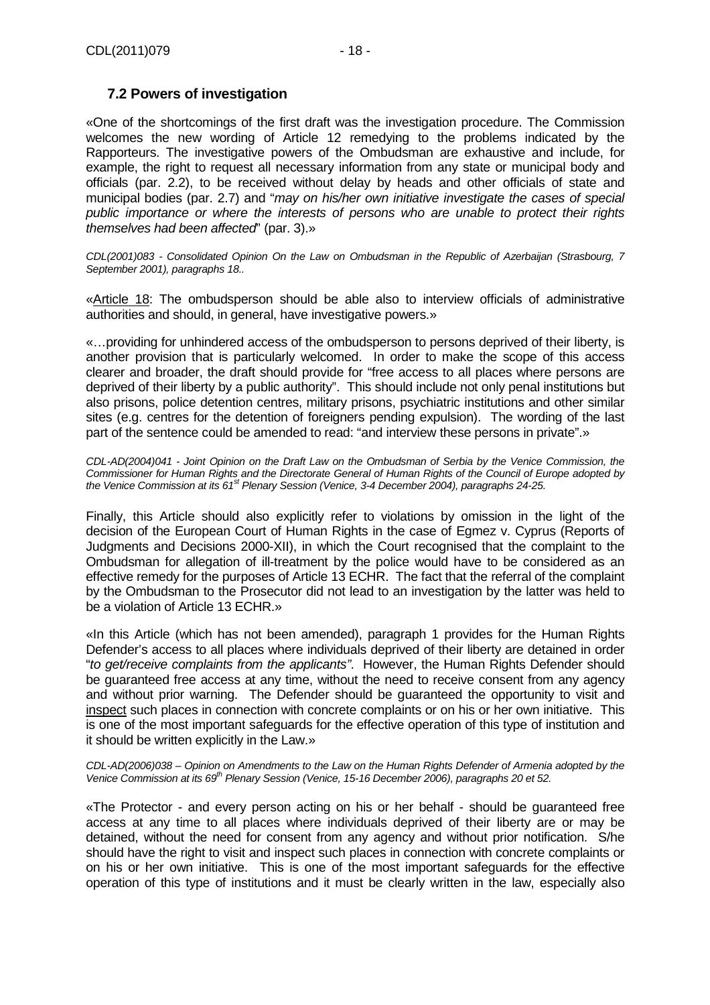# **7.2 Powers of investigation**

«One of the shortcomings of the first draft was the investigation procedure. The Commission welcomes the new wording of Article 12 remedying to the problems indicated by the Rapporteurs. The investigative powers of the Ombudsman are exhaustive and include, for example, the right to request all necessary information from any state or municipal body and officials (par. 2.2), to be received without delay by heads and other officials of state and municipal bodies (par. 2.7) and "may on his/her own initiative investigate the cases of special public importance or where the interests of persons who are unable to protect their rights themselves had been affected" (par. 3).»

CDL(2001)083 - Consolidated Opinion On the Law on Ombudsman in the Republic of Azerbaijan (Strasbourg, 7 September 2001), paragraphs 18..

«Article 18: The ombudsperson should be able also to interview officials of administrative authorities and should, in general, have investigative powers.»

«…providing for unhindered access of the ombudsperson to persons deprived of their liberty, is another provision that is particularly welcomed. In order to make the scope of this access clearer and broader, the draft should provide for "free access to all places where persons are deprived of their liberty by a public authority". This should include not only penal institutions but also prisons, police detention centres, military prisons, psychiatric institutions and other similar sites (e.g. centres for the detention of foreigners pending expulsion). The wording of the last part of the sentence could be amended to read: "and interview these persons in private".»

CDL-AD(2004)041 - Joint Opinion on the Draft Law on the Ombudsman of Serbia by the Venice Commission, the Commissioner for Human Rights and the Directorate General of Human Rights of the Council of Europe adopted by the Venice Commission at its  $61<sup>st</sup>$  Plenary Session (Venice, 3-4 December 2004), paragraphs 24-25.

Finally, this Article should also explicitly refer to violations by omission in the light of the decision of the European Court of Human Rights in the case of Egmez v. Cyprus (Reports of Judgments and Decisions 2000-XII), in which the Court recognised that the complaint to the Ombudsman for allegation of ill-treatment by the police would have to be considered as an effective remedy for the purposes of Article 13 ECHR. The fact that the referral of the complaint by the Ombudsman to the Prosecutor did not lead to an investigation by the latter was held to be a violation of Article 13 ECHR.»

«In this Article (which has not been amended), paragraph 1 provides for the Human Rights Defender's access to all places where individuals deprived of their liberty are detained in order "to get/receive complaints from the applicants". However, the Human Rights Defender should be guaranteed free access at any time, without the need to receive consent from any agency and without prior warning. The Defender should be guaranteed the opportunity to visit and inspect such places in connection with concrete complaints or on his or her own initiative. This is one of the most important safeguards for the effective operation of this type of institution and it should be written explicitly in the Law.»

CDL-AD(2006)038 – Opinion on Amendments to the Law on the Human Rights Defender of Armenia adopted by the Venice Commission at its 69<sup>th</sup> Plenary Session (Venice, 15-16 December 2006), paragraphs 20 et 52.

«The Protector - and every person acting on his or her behalf - should be guaranteed free access at any time to all places where individuals deprived of their liberty are or may be detained, without the need for consent from any agency and without prior notification. S/he should have the right to visit and inspect such places in connection with concrete complaints or on his or her own initiative. This is one of the most important safeguards for the effective operation of this type of institutions and it must be clearly written in the law, especially also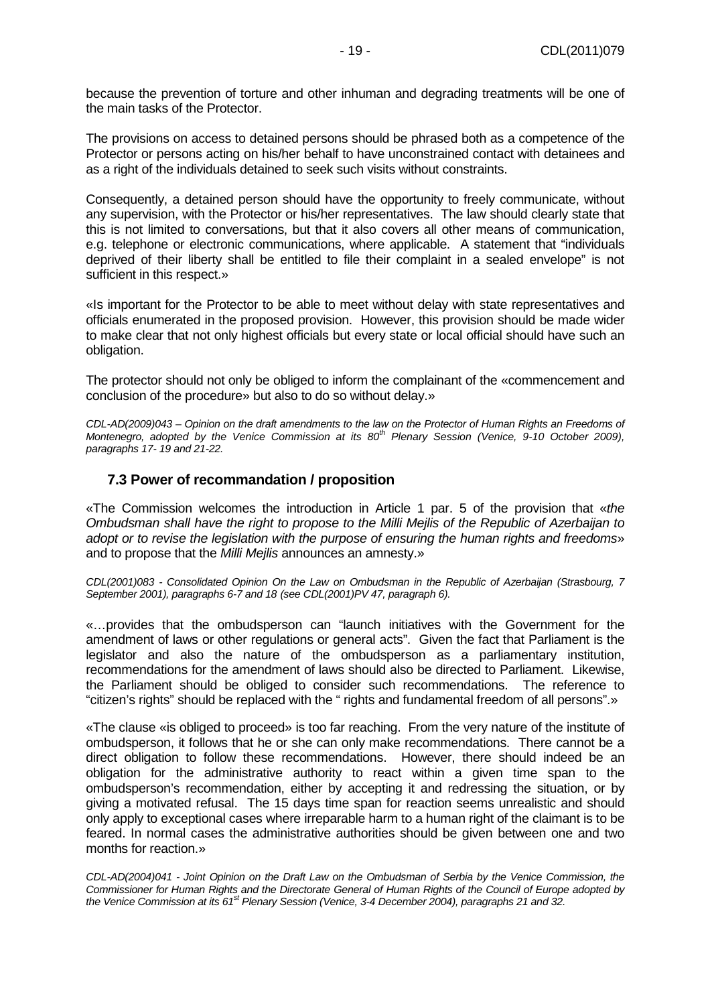because the prevention of torture and other inhuman and degrading treatments will be one of the main tasks of the Protector.

The provisions on access to detained persons should be phrased both as a competence of the Protector or persons acting on his/her behalf to have unconstrained contact with detainees and as a right of the individuals detained to seek such visits without constraints.

Consequently, a detained person should have the opportunity to freely communicate, without any supervision, with the Protector or his/her representatives. The law should clearly state that this is not limited to conversations, but that it also covers all other means of communication, e.g. telephone or electronic communications, where applicable. A statement that "individuals deprived of their liberty shall be entitled to file their complaint in a sealed envelope" is not sufficient in this respect.»

«Is important for the Protector to be able to meet without delay with state representatives and officials enumerated in the proposed provision. However, this provision should be made wider to make clear that not only highest officials but every state or local official should have such an obligation.

The protector should not only be obliged to inform the complainant of the «commencement and conclusion of the procedure» but also to do so without delay.»

CDL-AD(2009)043 – Opinion on the draft amendments to the law on the Protector of Human Rights an Freedoms of Montenegro, adopted by the Venice Commission at its  $80^{th}$  Plenary Session (Venice, 9-10 October 2009), paragraphs 17- 19 and 21-22.

#### **7.3 Power of recommandation / proposition**

«The Commission welcomes the introduction in Article 1 par. 5 of the provision that «the Ombudsman shall have the right to propose to the Milli Mejlis of the Republic of Azerbaijan to adopt or to revise the legislation with the purpose of ensuring the human rights and freedoms» and to propose that the Milli Mejlis announces an amnesty.»

CDL(2001)083 - Consolidated Opinion On the Law on Ombudsman in the Republic of Azerbaijan (Strasbourg, 7 September 2001), paragraphs 6-7 and 18 (see CDL(2001)PV 47, paragraph 6).

«…provides that the ombudsperson can "launch initiatives with the Government for the amendment of laws or other regulations or general acts". Given the fact that Parliament is the legislator and also the nature of the ombudsperson as a parliamentary institution, recommendations for the amendment of laws should also be directed to Parliament. Likewise, the Parliament should be obliged to consider such recommendations. The reference to "citizen's rights" should be replaced with the " rights and fundamental freedom of all persons".»

«The clause «is obliged to proceed» is too far read ing. From the very nature of the institute of ombudsperson, it follows that he or she can only make recommendations. There cannot be a direct obligation to follow these recommendations. However, there should indeed be an obligation for the administrative authority to react within a given time span to the ombudsperson's recommendation, either by accepting it and redressing the situation, or by giving a motivated refusal. The 15 days time span for reaction seems unrealistic and should only apply to exceptional cases where irreparable harm to a human right of the claimant is to be feared. In normal cases the administrative authorities should be given between one and two months for reaction.»

CDL-AD(2004)041 - Joint Opinion on the Draft Law on the Ombudsman of Serbia by the Venice Commission, the Commissioner for Human Rights and the Directorate General of Human Rights of the Council of Europe adopted by the Venice Commission at its 61<sup>st</sup> Plenary Session (Venice, 3-4 December 2004), paragraphs 21 and 32.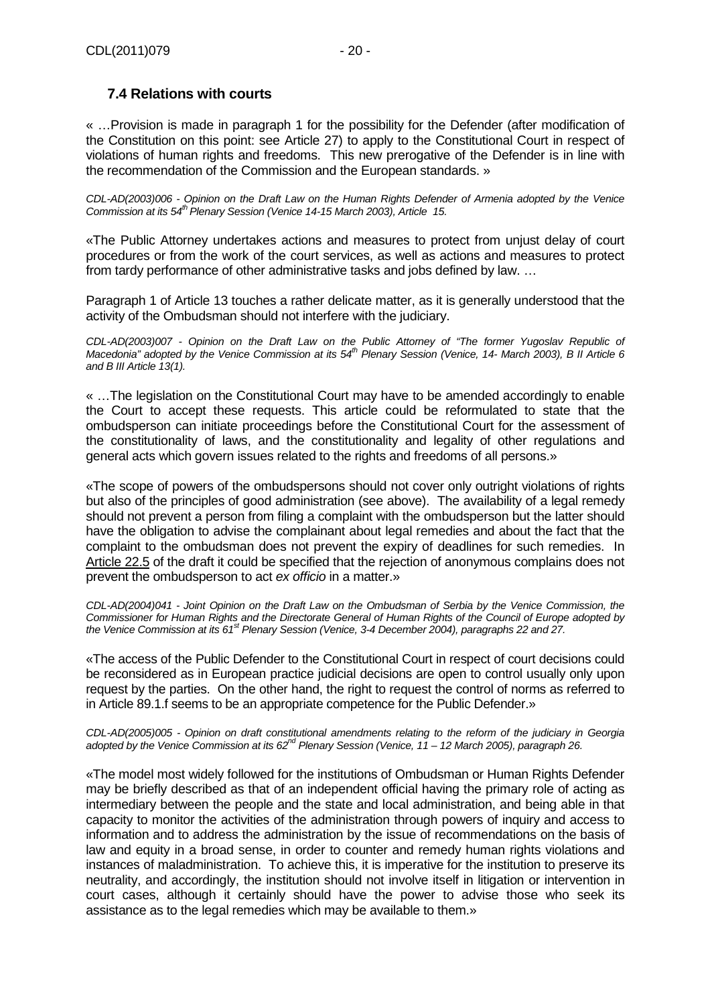# **7.4 Relations with courts**

« …Provision is made in paragraph 1 for the possibility for the Defender (after modification of the Constitution on this point: see Article 27) to apply to the Constitutional Court in respect of violations of human rights and freedoms. This new prerogative of the Defender is in line with the recommendation of the Commission and the European standards. »

CDL-AD(2003)006 - Opinion on the Draft Law on the Human Rights Defender of Armenia adopted by the Venice Commission at its 54<sup>th</sup> Plenary Session (Venice 14-15 March 2003), Article 15.

«The Public Attorney undertakes actions and measures to protect from unjust delay of court procedures or from the work of the court services, as well as actions and measures to protect from tardy performance of other administrative tasks and jobs defined by law. ...

Paragraph 1 of Article 13 touches a rather delicate matter, as it is generally understood that the activity of the Ombudsman should not interfere with the judiciary.

CDL-AD(2003)007 - Opinion on the Draft Law on the Public Attorney of "The former Yugoslav Republic of Macedonia" adopted by the Venice Commission at its  $54^{th}$  Plenary Session (Venice, 14- March 2003), B II Article 6 and B III Article 13(1).

« …The legislation on the Constitutional Court may have to be amended accordingly to enable the Court to accept these requests. This article could be reformulated to state that the ombudsperson can initiate proceedings before the Constitutional Court for the assessment of the constitutionality of laws, and the constitutionality and legality of other regulations and general acts which govern issues related to the rights and freedoms of all persons.»

«The scope of powers of the ombudspersons should not cover only outright violations of rights but also of the principles of good administration (see above). The availability of a legal remedy should not prevent a person from filing a complaint with the ombudsperson but the latter should have the obligation to advise the complainant about legal remedies and about the fact that the complaint to the ombudsman does not prevent the expiry of deadlines for such remedies. In Article 22.5 of the draft it could be specified that the rejection of anonymous complains does not prevent the ombudsperson to act ex officio in a matter.»

CDL-AD(2004)041 - Joint Opinion on the Draft Law on the Ombudsman of Serbia by the Venice Commission, the Commissioner for Human Rights and the Directorate General of Human Rights of the Council of Europe adopted by the Venice Commission at its 61<sup>st</sup> Plenary Session (Venice, 3-4 December 2004), paragraphs 22 and 27.

«The access of the Public Defender to the Constitutional Court in respect of court decisions could be reconsidered as in European practice judicial decisions are open to control usually only upon request by the parties. On the other hand, the right to request the control of norms as referred to in Article 89.1.f seems to be an appropriate competence for the Public Defender.»

CDL-AD(2005)005 - Opinion on draft constitutional amendments relating to the reform of the judiciary in Georgia adopted by the Venice Commission at its 62<sup>nd</sup> Plenary Session (Venice, 11 – 12 March 2005), paragraph 26.

«The model most widely followed for the institutions of Ombudsman or Human Rights Defender may be briefly described as that of an independent official having the primary role of acting as intermediary between the people and the state and local administration, and being able in that capacity to monitor the activities of the administration through powers of inquiry and access to information and to address the administration by the issue of recommendations on the basis of law and equity in a broad sense, in order to counter and remedy human rights violations and instances of maladministration. To achieve this, it is imperative for the institution to preserve its neutrality, and accordingly, the institution should not involve itself in litigation or intervention in court cases, although it certainly should have the power to advise those who seek its assistance as to the legal remedies which may be available to them.»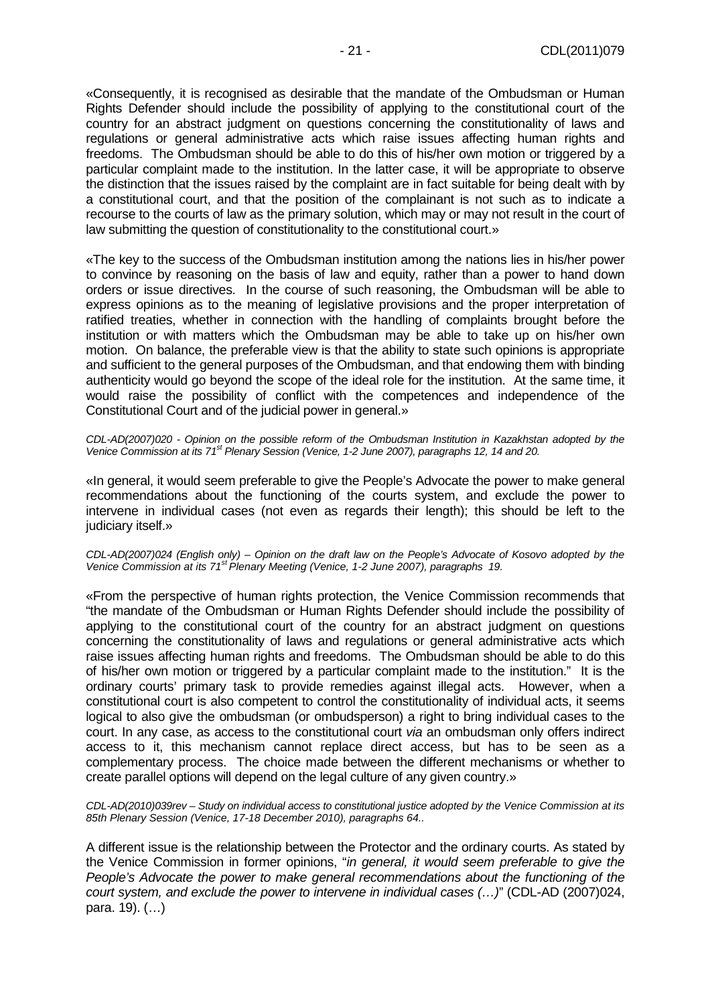«Consequently, it is recognised as desirable that the mandate of the Ombudsman or Human Rights Defender should include the possibility of applying to the constitutional court of the country for an abstract judgment on questions concerning the constitutionality of laws and regulations or general administrative acts which raise issues affecting human rights and freedoms. The Ombudsman should be able to do this of his/her own motion or triggered by a particular complaint made to the institution. In the latter case, it will be appropriate to observe the distinction that the issues raised by the complaint are in fact suitable for being dealt with by a constitutional court, and that the position of the complainant is not such as to indicate a recourse to the courts of law as the primary solution, which may or may not result in the court of law submitting the question of constitutionality to the constitutional court.»

«The key to the success of the Ombudsman institution among the nations lies in his/her power to convince by reasoning on the basis of law and equity, rather than a power to hand down orders or issue directives. In the course of such reasoning, the Ombudsman will be able to express opinions as to the meaning of legislative provisions and the proper interpretation of ratified treaties, whether in connection with the handling of complaints brought before the institution or with matters which the Ombudsman may be able to take up on his/her own motion. On balance, the preferable view is that the ability to state such opinions is appropriate and sufficient to the general purposes of the Ombudsman, and that endowing them with binding authenticity would go beyond the scope of the ideal role for the institution. At the same time, it would raise the possibility of conflict with the competences and independence of the Constitutional Court and of the judicial power in general.»

CDL-AD(2007)020 - Opinion on the possible reform of the Ombudsman Institution in Kazakhstan adopted by the Venice Commission at its 71<sup>st</sup> Plenary Session (Venice, 1-2 June 2007), paragraphs 12, 14 and 20.

«In general, it would seem preferable to give the People's Advocate the power to make general recommendations about the functioning of the courts system, and exclude the power to intervene in individual cases (not even as regards their length); this should be left to the judiciary itself.»

CDL-AD(2007)024 (English only) – Opinion on the draft law on the People's Advocate of Kosovo adopted by the Venice Commission at its 71<sup>st</sup> Plenary Meeting (Venice, 1-2 June 2007), paragraphs 19.

«From the perspective of human rights protection, the Venice Commission recommends that "the mandate of the Ombudsman or Human Rights Defender should include the possibility of applying to the constitutional court of the country for an abstract judgment on questions concerning the constitutionality of laws and regulations or general administrative acts which raise issues affecting human rights and freedoms. The Ombudsman should be able to do this of his/her own motion or triggered by a particular complaint made to the institution." It is the ordinary courts' primary task to provide remedies against illegal acts. However, when a constitutional court is also competent to control the constitutionality of individual acts, it seems logical to also give the ombudsman (or ombudsperson) a right to bring individual cases to the court. In any case, as access to the constitutional court via an ombudsman only offers indirect access to it, this mechanism cannot replace direct access, but has to be seen as a complementary process. The choice made between the different mechanisms or whether to create parallel options will depend on the legal culture of any given country.»

CDL-AD(2010)039rev – Study on individual access to constitutional justice adopted by the Venice Commission at its 85th Plenary Session (Venice, 17-18 December 2010), paragraphs 64..

A different issue is the relationship between the Protector and the ordinary courts. As stated by the Venice Commission in former opinions, "in general, it would seem preferable to give the People's Advocate the power to make general recommendations about the functioning of the court system, and exclude the power to intervene in individual cases (…)" (CDL-AD (2007)024, para. 19). (…)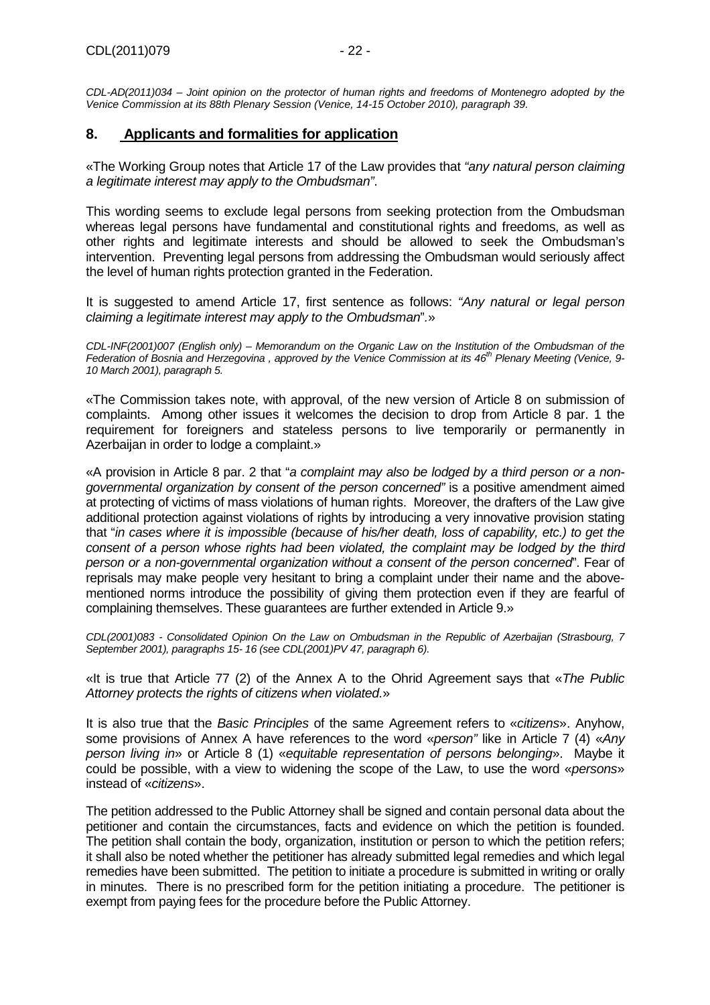CDL-AD(2011)034 – Joint opinion on the protector of human rights and freedoms of Montenegro adopted by the Venice Commission at its 88th Plenary Session (Venice, 14-15 October 2010), paragraph 39.

## **8. Applicants and formalities for application**

«The Working Group notes that Article 17 of the Law provides that "any natural person claiming a legitimate interest may apply to the Ombudsman".

This wording seems to exclude legal persons from seeking protection from the Ombudsman whereas legal persons have fundamental and constitutional rights and freedoms, as well as other rights and legitimate interests and should be allowed to seek the Ombudsman's intervention. Preventing legal persons from addressing the Ombudsman would seriously affect the level of human rights protection granted in the Federation.

It is suggested to amend Article 17, first sentence as follows: "Any natural or legal person claiming a legitimate interest may apply to the Ombudsman".»

CDL-INF(2001)007 (English only) – Memorandum on the Organic Law on the Institution of the Ombudsman of the Federation of Bosnia and Herzegovina, approved by the Venice Commission at its  $46^{th}$  Plenary Meeting (Venice, 9-10 March 2001), paragraph 5.

«The Commission takes note, with approval, of the new version of Article 8 on submission of complaints. Among other issues it welcomes the decision to drop from Article 8 par. 1 the requirement for foreigners and stateless persons to live temporarily or permanently in Azerbaijan in order to lodge a complaint.»

«A provision in Article 8 par. 2 that "a complaint may also be lodged by a third person or a nongovernmental organization by consent of the person concerned" is a positive amendment aimed at protecting of victims of mass violations of human rights. Moreover, the drafters of the Law give additional protection against violations of rights by introducing a very innovative provision stating that "in cases where it is impossible (because of his/her death, loss of capability, etc.) to get the consent of a person whose rights had been violated, the complaint may be lodged by the third person or a non-governmental organization without a consent of the person concerned". Fear of reprisals may make people very hesitant to bring a complaint under their name and the abovementioned norms introduce the possibility of giving them protection even if they are fearful of complaining themselves. These guarantees are further extended in Article 9.»

CDL(2001)083 - Consolidated Opinion On the Law on Ombudsman in the Republic of Azerbaijan (Strasbourg, 7 September 2001), paragraphs 15- 16 (see CDL(2001)PV 47, paragraph 6).

«It is true that Article 77 (2) of the Annex A to the Ohrid Agreement says that «The Public Attorney protects the rights of citizens when violated.»

It is also true that the Basic Principles of the same Agreement refers to «citizens». Anyhow, some provisions of Annex A have references to the word «person" like in Article 7 (4) «Anv person living in» or Article 8 (1) «equitable representation of persons belonging». Maybe it could be possible, with a view to widening the scope of the Law, to use the word «persons» instead of «citizens».

The petition addressed to the Public Attorney shall be signed and contain personal data about the petitioner and contain the circumstances, facts and evidence on which the petition is founded. The petition shall contain the body, organization, institution or person to which the petition refers; it shall also be noted whether the petitioner has already submitted legal remedies and which legal remedies have been submitted. The petition to initiate a procedure is submitted in writing or orally in minutes. There is no prescribed form for the petition initiating a procedure. The petitioner is exempt from paying fees for the procedure before the Public Attorney.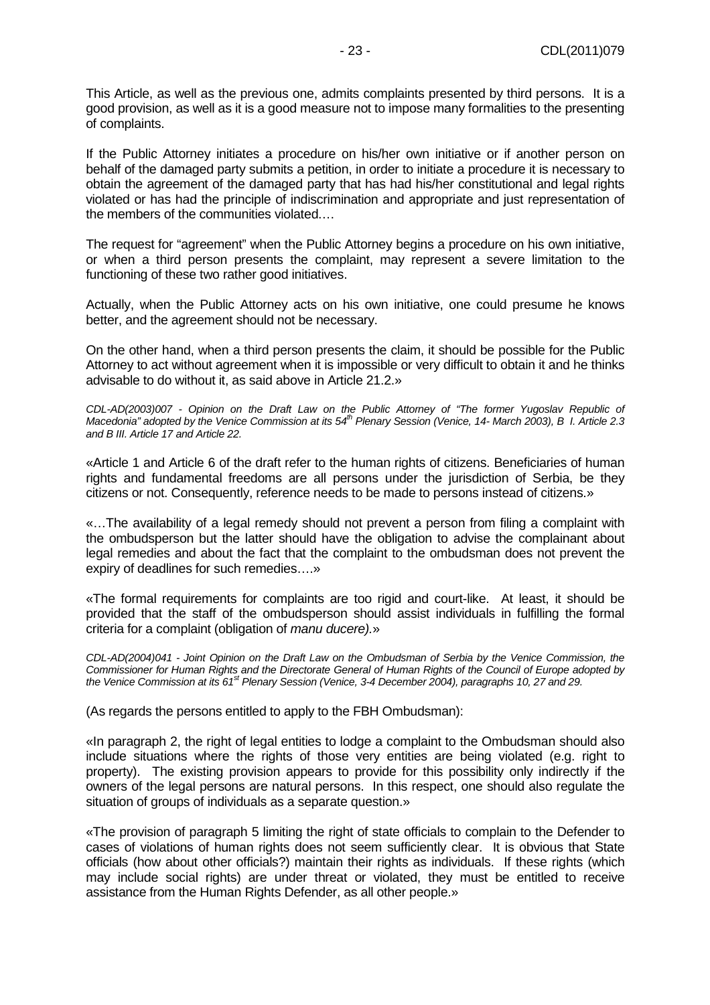This Article, as well as the previous one, admits complaints presented by third persons. It is a good provision, as well as it is a good measure not to impose many formalities to the presenting of complaints.

If the Public Attorney initiates a procedure on his/her own initiative or if another person on behalf of the damaged party submits a petition, in order to initiate a procedure it is necessary to obtain the agreement of the damaged party that has had his/her constitutional and legal rights violated or has had the principle of indiscrimination and appropriate and just representation of the members of the communities violated.…

The request for "agreement" when the Public Attorney begins a procedure on his own initiative, or when a third person presents the complaint, may represent a severe limitation to the functioning of these two rather good initiatives.

Actually, when the Public Attorney acts on his own initiative, one could presume he knows better, and the agreement should not be necessary.

On the other hand, when a third person presents the claim, it should be possible for the Public Attorney to act without agreement when it is impossible or very difficult to obtain it and he thinks advisable to do without it, as said above in Article 21.2.»

CDL-AD(2003)007 - Opinion on the Draft Law on the Public Attorney of "The former Yugoslav Republic of Macedonia" adopted by the Venice Commission at its  $54<sup>th</sup>$  Plenary Session (Venice, 14- March 2003), B I. Article 2.3 and B III. Article 17 and Article 22.

«Article 1 and Article 6 of the draft refer to the human rights of citizens. Beneficiaries of human rights and fundamental freedoms are all persons under the jurisdiction of Serbia, be they citizens or not. Consequently, reference needs to be made to persons instead of citizens.»

«…The availability of a legal remedy should not prevent a person from filing a complaint with the ombudsperson but the latter should have the obligation to advise the complainant about legal remedies and about the fact that the complaint to the ombudsman does not prevent the expiry of deadlines for such remedies….»

«The formal requirements for complaints are too rigid and court-like. At least, it should be provided that the staff of the ombudsperson should assist individuals in fulfilling the formal criteria for a complaint (obligation of manu ducere).»

CDL-AD(2004)041 - Joint Opinion on the Draft Law on the Ombudsman of Serbia by the Venice Commission, the Commissioner for Human Rights and the Directorate General of Human Rights of the Council of Europe adopted by the Venice Commission at its 61<sup>st</sup> Plenary Session (Venice, 3-4 December 2004), paragraphs 10, 27 and 29.

(As regards the persons entitled to apply to the FBH Ombudsman):

«In paragraph 2, the right of legal entities to lodge a complaint to the Ombudsman should also include situations where the rights of those very entities are being violated (e.g. right to property). The existing provision appears to provide for this possibility only indirectly if the owners of the legal persons are natural persons. In this respect, one should also regulate the situation of groups of individuals as a separate question.»

«The provision of paragraph 5 limiting the right of state officials to complain to the Defender to cases of violations of human rights does not seem sufficiently clear. It is obvious that State officials (how about other officials?) maintain their rights as individuals. If these rights (which may include social rights) are under threat or violated, they must be entitled to receive assistance from the Human Rights Defender, as all other people.»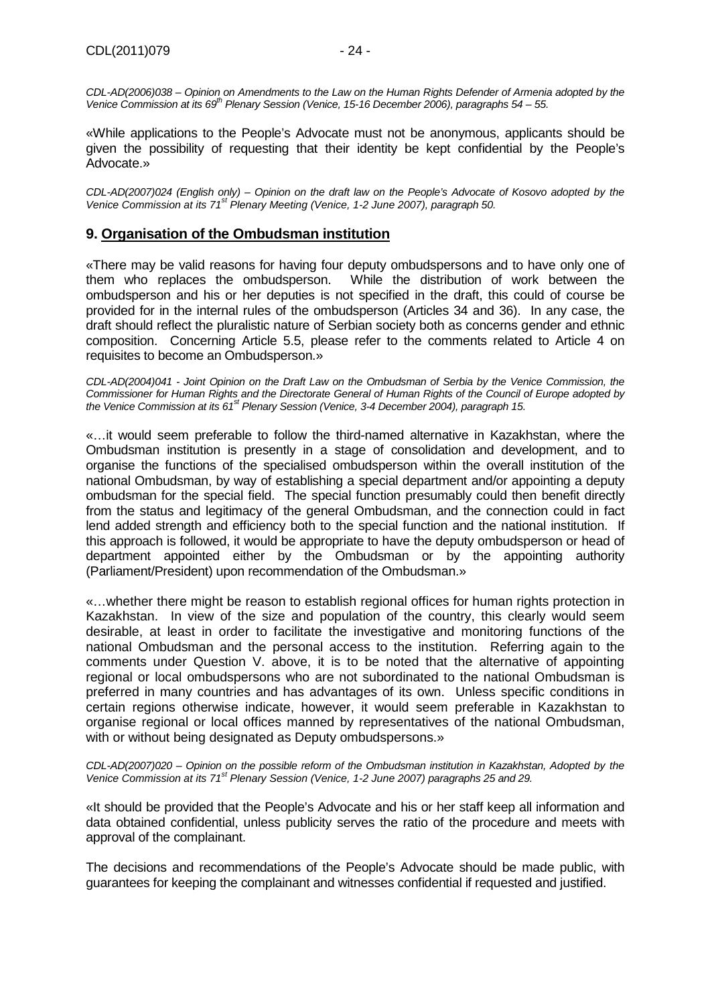CDL-AD(2006)038 – Opinion on Amendments to the Law on the Human Rights Defender of Armenia adopted by the Venice Commission at its 69<sup>th</sup> Plenary Session (Venice, 15-16 December 2006), paragraphs 54 – 55.

«While applications to the People's Advocate must not be anonymous, applicants should be given the possibility of requesting that their identity be kept confidential by the People's Advocate.»

CDL-AD(2007)024 (English only) – Opinion on the draft law on the People's Advocate of Kosovo adopted by the Venice Commission at its 71<sup>st</sup> Plenary Meeting (Venice, 1-2 June 2007), paragraph 50.

#### **9. Organisation of the Ombudsman institution**

«There may be valid reasons for having four deputy ombudspersons and to have only one of them who replaces the ombudsperson. While the distribution of work between the ombudsperson and his or her deputies is not specified in the draft, this could of course be provided for in the internal rules of the ombudsperson (Articles 34 and 36). In any case, the draft should reflect the pluralistic nature of Serbian society both as concerns gender and ethnic composition. Concerning Article 5.5, please refer to the comments related to Article 4 on requisites to become an Ombudsperson.»

CDL-AD(2004)041 - Joint Opinion on the Draft Law on the Ombudsman of Serbia by the Venice Commission, the Commissioner for Human Rights and the Directorate General of Human Rights of the Council of Europe adopted by the Venice Commission at its  $61^{st}$  Plenary Session (Venice, 3-4 December 2004), paragraph 15.

«…it would seem preferable to follow the third-named alternative in Kazakhstan, where the Ombudsman institution is presently in a stage of consolidation and development, and to organise the functions of the specialised ombudsperson within the overall institution of the national Ombudsman, by way of establishing a special department and/or appointing a deputy ombudsman for the special field. The special function presumably could then benefit directly from the status and legitimacy of the general Ombudsman, and the connection could in fact lend added strength and efficiency both to the special function and the national institution. If this approach is followed, it would be appropriate to have the deputy ombudsperson or head of department appointed either by the Ombudsman or by the appointing authority (Parliament/President) upon recommendation of the Ombudsman.»

«…whether there might be reason to establish regional offices for human rights protection in Kazakhstan. In view of the size and population of the country, this clearly would seem desirable, at least in order to facilitate the investigative and monitoring functions of the national Ombudsman and the personal access to the institution. Referring again to the comments under Question V. above, it is to be noted that the alternative of appointing regional or local ombudspersons who are not subordinated to the national Ombudsman is preferred in many countries and has advantages of its own. Unless specific conditions in certain regions otherwise indicate, however, it would seem preferable in Kazakhstan to organise regional or local offices manned by representatives of the national Ombudsman, with or without being designated as Deputy ombudspersons.»

CDL-AD(2007)020 – Opinion on the possible reform of the Ombudsman institution in Kazakhstan, Adopted by the Venice Commission at its 71<sup>st</sup> Plenary Session (Venice, 1-2 June 2007) paragraphs 25 and 29.

«It should be provided that the People's Advocate and his or her staff keep all information and data obtained confidential, unless publicity serves the ratio of the procedure and meets with approval of the complainant.

The decisions and recommendations of the People's Advocate should be made public, with guarantees for keeping the complainant and witnesses confidential if requested and justified.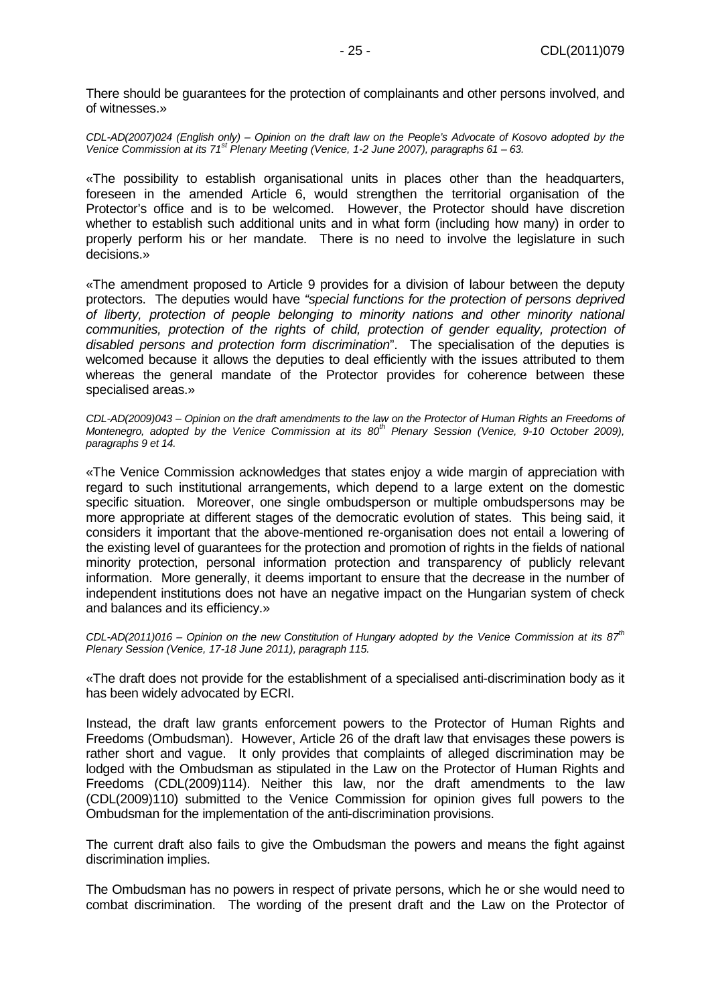There should be guarantees for the protection of complainants and other persons involved, and of witnesses.»

CDL-AD(2007)024 (English only) – Opinion on the draft law on the People's Advocate of Kosovo adopted by the Venice Commission at its  $71<sup>st</sup>$  Plenary Meeting (Venice, 1-2 June 2007), paragraphs 61 – 63.

«The possibility to establish organisational units in places other than the headquarters, foreseen in the amended Article 6, would strengthen the territorial organisation of the Protector's office and is to be welcomed. However, the Protector should have discretion whether to establish such additional units and in what form (including how many) in order to properly perform his or her mandate. There is no need to involve the legislature in such decisions.»

«The amendment proposed to Article 9 provides for a division of labour between the deputy protectors. The deputies would have "special functions for the protection of persons deprived of liberty, protection of people belonging to minority nations and other minority national communities, protection of the rights of child, protection of gender equality, protection of disabled persons and protection form discrimination". The specialisation of the deputies is welcomed because it allows the deputies to deal efficiently with the issues attributed to them whereas the general mandate of the Protector provides for coherence between these specialised areas.»

CDL-AD(2009)043 – Opinion on the draft amendments to the law on the Protector of Human Rights an Freedoms of Montenegro, adopted by the Venice Commission at its  $80<sup>th</sup>$  Plenary Session (Venice, 9-10 October 2009), paragraphs 9 et 14.

«The Venice Commission acknowledges that states enjoy a wide margin of appreciation with regard to such institutional arrangements, which depend to a large extent on the domestic specific situation. Moreover, one single ombudsperson or multiple ombudspersons may be more appropriate at different stages of the democratic evolution of states. This being said, it considers it important that the above-mentioned re-organisation does not entail a lowering of the existing level of guarantees for the protection and promotion of rights in the fields of national minority protection, personal information protection and transparency of publicly relevant information. More generally, it deems important to ensure that the decrease in the number of independent institutions does not have an negative impact on the Hungarian system of check and balances and its efficiency.»

CDL-AD(2011)016 – Opinion on the new Constitution of Hungary adopted by the Venice Commission at its  $87^{th}$ Plenary Session (Venice, 17-18 June 2011), paragraph 115.

«The draft does not provide for the establishment of a specialised anti-discrimination body as it has been widely advocated by ECRI.

Instead, the draft law grants enforcement powers to the Protector of Human Rights and Freedoms (Ombudsman). However, Article 26 of the draft law that envisages these powers is rather short and vague. It only provides that complaints of alleged discrimination may be lodged with the Ombudsman as stipulated in the Law on the Protector of Human Rights and Freedoms (CDL(2009)114). Neither this law, nor the draft amendments to the law (CDL(2009)110) submitted to the Venice Commission for opinion gives full powers to the Ombudsman for the implementation of the anti-discrimination provisions.

The current draft also fails to give the Ombudsman the powers and means the fight against discrimination implies.

The Ombudsman has no powers in respect of private persons, which he or she would need to combat discrimination. The wording of the present draft and the Law on the Protector of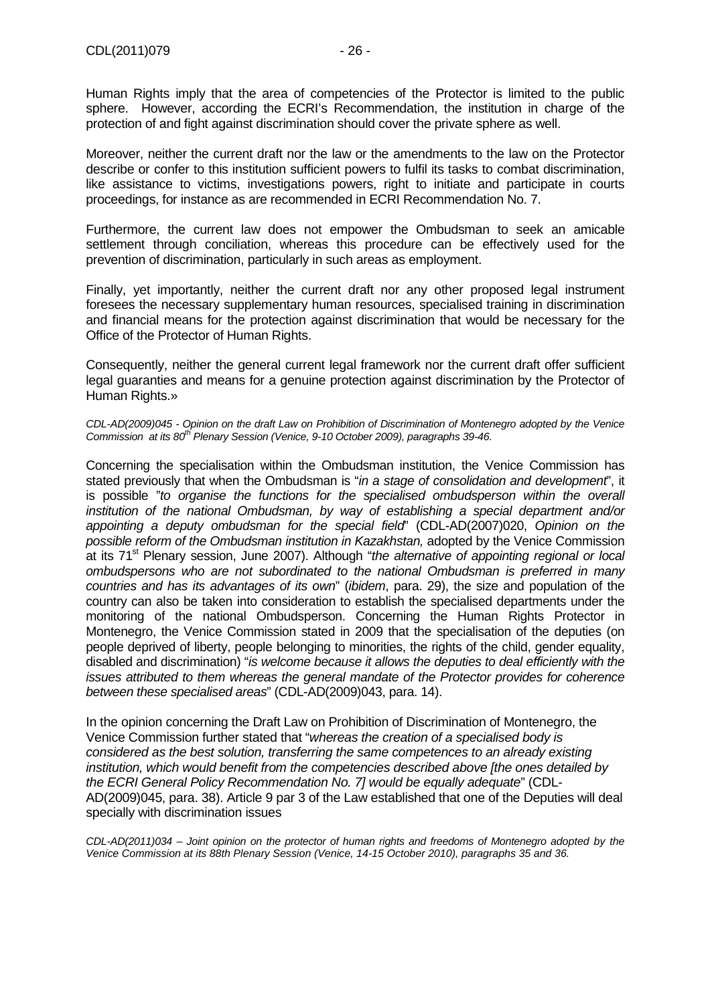Human Rights imply that the area of competencies of the Protector is limited to the public sphere. However, according the ECRI's Recommendation, the institution in charge of the protection of and fight against discrimination should cover the private sphere as well.

Moreover, neither the current draft nor the law or the amendments to the law on the Protector describe or confer to this institution sufficient powers to fulfil its tasks to combat discrimination, like assistance to victims, investigations powers, right to initiate and participate in courts proceedings, for instance as are recommended in ECRI Recommendation No. 7.

Furthermore, the current law does not empower the Ombudsman to seek an amicable settlement through conciliation, whereas this procedure can be effectively used for the prevention of discrimination, particularly in such areas as employment.

Finally, yet importantly, neither the current draft nor any other proposed legal instrument foresees the necessary supplementary human resources, specialised training in discrimination and financial means for the protection against discrimination that would be necessary for the Office of the Protector of Human Rights.

Consequently, neither the general current legal framework nor the current draft offer sufficient legal guaranties and means for a genuine protection against discrimination by the Protector of Human Rights.»

CDL-AD(2009)045 - Opinion on the draft Law on Prohibition of Discrimination of Montenegro adopted by the Venice Commission at its 80<sup>th</sup> Plenary Session (Venice, 9-10 October 2009), paragraphs 39-46.

Concerning the specialisation within the Ombudsman institution, the Venice Commission has stated previously that when the Ombudsman is "in a stage of consolidation and development", it is possible "to organise the functions for the specialised ombudsperson within the overall institution of the national Ombudsman, by way of establishing a special department and/or appointing a deputy ombudsman for the special field" (CDL-AD(2007)020, Opinion on the possible reform of the Ombudsman institution in Kazakhstan, adopted by the Venice Commission at its 71<sup>st</sup> Plenary session, June 2007). Although "*the alternative of appointing regional or local* ombudspersons who are not subordinated to the national Ombudsman is preferred in many countries and has its advantages of its own" (ibidem, para. 29), the size and population of the country can also be taken into consideration to establish the specialised departments under the monitoring of the national Ombudsperson. Concerning the Human Rights Protector in Montenegro, the Venice Commission stated in 2009 that the specialisation of the deputies (on people deprived of liberty, people belonging to minorities, the rights of the child, gender equality, disabled and discrimination) "is welcome because it allows the deputies to deal efficiently with the issues attributed to them whereas the general mandate of the Protector provides for coherence between these specialised areas" (CDL-AD(2009)043, para. 14).

In the opinion concerning the Draft Law on Prohibition of Discrimination of Montenegro, the Venice Commission further stated that "whereas the creation of a specialised body is considered as the best solution, transferring the same competences to an already existing institution, which would benefit from the competencies described above [the ones detailed by the ECRI General Policy Recommendation No. 7] would be equally adequate" (CDL-AD(2009)045, para. 38). Article 9 par 3 of the Law established that one of the Deputies will deal specially with discrimination issues

CDL-AD(2011)034 – Joint opinion on the protector of human rights and freedoms of Montenegro adopted by the Venice Commission at its 88th Plenary Session (Venice, 14-15 October 2010), paragraphs 35 and 36.